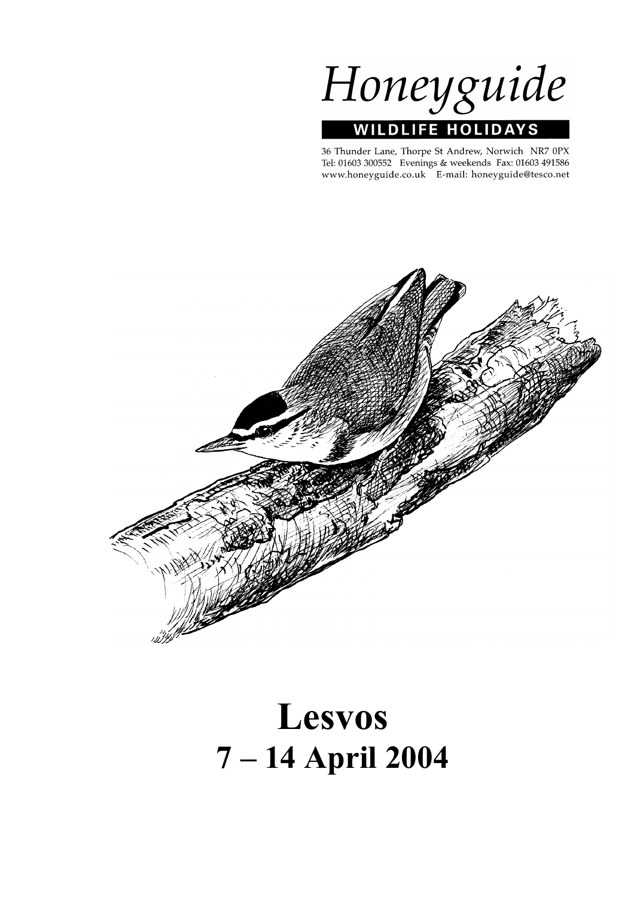

36 Thunder Lane, Thorpe St Andrew, Norwich NR7 0PX Tel: 01603 300552 Evenings & weekends Fax: 01603 491586 www.honeyguide.co.uk E-mail: honeyguide@tesco.net



# **Lesvos 7 – 14 April 2004**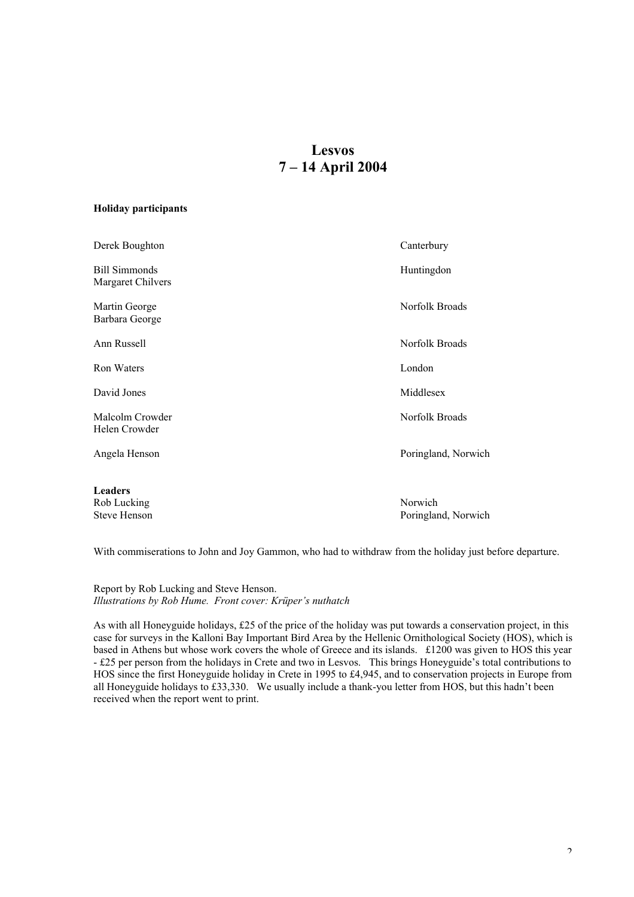# **Lesvos 7 – 14 April 2004**

## **Holiday participants**

| Derek Boughton                                       | Canterbury                     |
|------------------------------------------------------|--------------------------------|
| <b>Bill Simmonds</b><br>Margaret Chilvers            | Huntingdon                     |
| Martin George<br>Barbara George                      | Norfolk Broads                 |
| Ann Russell                                          | Norfolk Broads                 |
| <b>Ron Waters</b>                                    | London                         |
| David Jones                                          | Middlesex                      |
| Malcolm Crowder<br>Helen Crowder                     | Norfolk Broads                 |
| Angela Henson                                        | Poringland, Norwich            |
| <b>Leaders</b><br>Rob Lucking<br><b>Steve Henson</b> | Norwich<br>Poringland, Norwich |
|                                                      |                                |

With commiserations to John and Joy Gammon, who had to withdraw from the holiday just before departure.

Report by Rob Lucking and Steve Henson. *Illustrations by Rob Hume. Front cover: Krüper's nuthatch*

As with all Honeyguide holidays, £25 of the price of the holiday was put towards a conservation project, in this case for surveys in the Kalloni Bay Important Bird Area by the Hellenic Ornithological Society (HOS), which is based in Athens but whose work covers the whole of Greece and its islands. £1200 was given to HOS this year - £25 per person from the holidays in Crete and two in Lesvos. This brings Honeyguide's total contributions to HOS since the first Honeyguide holiday in Crete in 1995 to £4,945, and to conservation projects in Europe from all Honeyguide holidays to £33,330. We usually include a thank-you letter from HOS, but this hadn't been received when the report went to print.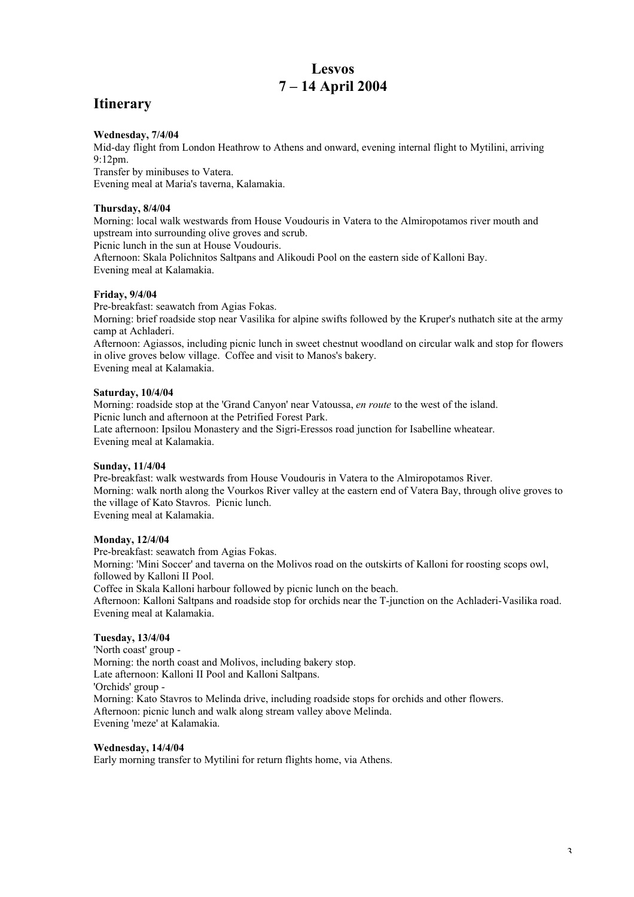# **Lesvos 7 – 14 April 2004**

# **Itinerary**

## **Wednesday, 7/4/04**

Mid-day flight from London Heathrow to Athens and onward, evening internal flight to Mytilini, arriving  $9.12$ pm. Transfer by minibuses to Vatera.

Evening meal at Maria's taverna, Kalamakia.

## **Thursday, 8/4/04**

Morning: local walk westwards from House Voudouris in Vatera to the Almiropotamos river mouth and upstream into surrounding olive groves and scrub.

Picnic lunch in the sun at House Voudouris.

Afternoon: Skala Polichnitos Saltpans and Alikoudi Pool on the eastern side of Kalloni Bay. Evening meal at Kalamakia.

## **Friday, 9/4/04**

Pre-breakfast: seawatch from Agias Fokas.

Morning: brief roadside stop near Vasilika for alpine swifts followed by the Kruper's nuthatch site at the army camp at Achladeri.

Afternoon: Agiassos, including picnic lunch in sweet chestnut woodland on circular walk and stop for flowers in olive groves below village. Coffee and visit to Manos's bakery. Evening meal at Kalamakia.

## **Saturday, 10/4/04**

Morning: roadside stop at the 'Grand Canyon' near Vatoussa, *en route* to the west of the island. Picnic lunch and afternoon at the Petrified Forest Park. Late afternoon: Ipsilou Monastery and the Sigri-Eressos road junction for Isabelline wheatear. Evening meal at Kalamakia.

## **Sunday, 11/4/04**

Pre-breakfast: walk westwards from House Voudouris in Vatera to the Almiropotamos River. Morning: walk north along the Vourkos River valley at the eastern end of Vatera Bay, through olive groves to the village of Kato Stavros. Picnic lunch. Evening meal at Kalamakia.

**Monday, 12/4/04**

Pre-breakfast: seawatch from Agias Fokas.

Morning: 'Mini Soccer' and taverna on the Molivos road on the outskirts of Kalloni for roosting scops owl, followed by Kalloni II Pool.

Coffee in Skala Kalloni harbour followed by picnic lunch on the beach.

Afternoon: Kalloni Saltpans and roadside stop for orchids near the T-junction on the Achladeri-Vasilika road. Evening meal at Kalamakia.

## **Tuesday, 13/4/04**

'North coast' group - Morning: the north coast and Molivos, including bakery stop. Late afternoon: Kalloni II Pool and Kalloni Saltpans. 'Orchids' group - Morning: Kato Stavros to Melinda drive, including roadside stops for orchids and other flowers. Afternoon: picnic lunch and walk along stream valley above Melinda. Evening 'meze' at Kalamakia.

## **Wednesday, 14/4/04**

Early morning transfer to Mytilini for return flights home, via Athens.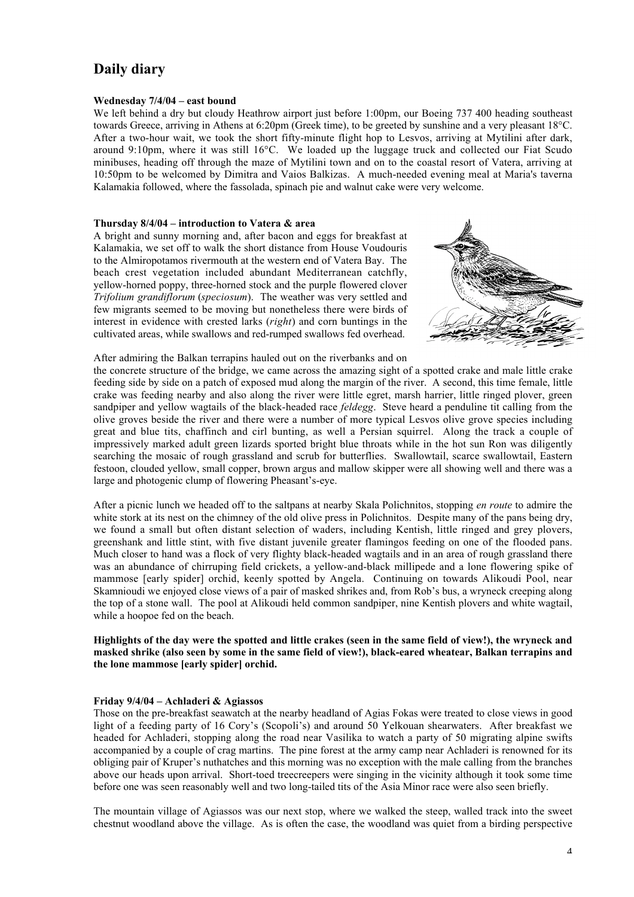# **Daily diary**

#### **Wednesday 7/4/04 – east bound**

We left behind a dry but cloudy Heathrow airport just before 1:00pm, our Boeing 737 400 heading southeast towards Greece, arriving in Athens at 6:20pm (Greek time), to be greeted by sunshine and a very pleasant 18°C. After a two-hour wait, we took the short fifty-minute flight hop to Lesvos, arriving at Mytilini after dark, around 9:10pm, where it was still 16°C. We loaded up the luggage truck and collected our Fiat Scudo minibuses, heading off through the maze of Mytilini town and on to the coastal resort of Vatera, arriving at 10:50pm to be welcomed by Dimitra and Vaios Balkizas. A much-needed evening meal at Maria's taverna Kalamakia followed, where the fassolada, spinach pie and walnut cake were very welcome.

#### **Thursday 8/4/04 – introduction to Vatera & area**

A bright and sunny morning and, after bacon and eggs for breakfast at Kalamakia, we set off to walk the short distance from House Voudouris to the Almiropotamos rivermouth at the western end of Vatera Bay. The beach crest vegetation included abundant Mediterranean catchfly, yellow-horned poppy, three-horned stock and the purple flowered clover *Trifolium grandiflorum* (*speciosum*). The weather was very settled and few migrants seemed to be moving but nonetheless there were birds of interest in evidence with crested larks (*right*) and corn buntings in the cultivated areas, while swallows and red-rumped swallows fed overhead.



After admiring the Balkan terrapins hauled out on the riverbanks and on

the concrete structure of the bridge, we came across the amazing sight of a spotted crake and male little crake feeding side by side on a patch of exposed mud along the margin of the river. A second, this time female, little crake was feeding nearby and also along the river were little egret, marsh harrier, little ringed plover, green sandpiper and yellow wagtails of the black-headed race *feldegg*. Steve heard a penduline tit calling from the olive groves beside the river and there were a number of more typical Lesvos olive grove species including great and blue tits, chaffinch and cirl bunting, as well a Persian squirrel. Along the track a couple of impressively marked adult green lizards sported bright blue throats while in the hot sun Ron was diligently searching the mosaic of rough grassland and scrub for butterflies. Swallowtail, scarce swallowtail, Eastern festoon, clouded yellow, small copper, brown argus and mallow skipper were all showing well and there was a large and photogenic clump of flowering Pheasant's-eye.

After a picnic lunch we headed off to the saltpans at nearby Skala Polichnitos, stopping *en route* to admire the white stork at its nest on the chimney of the old olive press in Polichnitos. Despite many of the pans being dry, we found a small but often distant selection of waders, including Kentish, little ringed and grey plovers, greenshank and little stint, with five distant juvenile greater flamingos feeding on one of the flooded pans. Much closer to hand was a flock of very flighty black-headed wagtails and in an area of rough grassland there was an abundance of chirruping field crickets, a yellow-and-black millipede and a lone flowering spike of mammose [early spider] orchid, keenly spotted by Angela. Continuing on towards Alikoudi Pool, near Skamnioudi we enjoyed close views of a pair of masked shrikes and, from Rob's bus, a wryneck creeping along the top of a stone wall. The pool at Alikoudi held common sandpiper, nine Kentish plovers and white wagtail, while a hoopoe fed on the beach.

## **Highlights of the day were the spotted and little crakes (seen in the same field of view!), the wryneck and masked shrike (also seen by some in the same field of view!), black-eared wheatear, Balkan terrapins and the lone mammose [early spider] orchid.**

#### **Friday 9/4/04 – Achladeri & Agiassos**

Those on the pre-breakfast seawatch at the nearby headland of Agias Fokas were treated to close views in good light of a feeding party of 16 Cory's (Scopoli's) and around 50 Yelkouan shearwaters. After breakfast we headed for Achladeri, stopping along the road near Vasilika to watch a party of 50 migrating alpine swifts accompanied by a couple of crag martins. The pine forest at the army camp near Achladeri is renowned for its obliging pair of Kruper's nuthatches and this morning was no exception with the male calling from the branches above our heads upon arrival. Short-toed treecreepers were singing in the vicinity although it took some time before one was seen reasonably well and two long-tailed tits of the Asia Minor race were also seen briefly.

The mountain village of Agiassos was our next stop, where we walked the steep, walled track into the sweet chestnut woodland above the village. As is often the case, the woodland was quiet from a birding perspective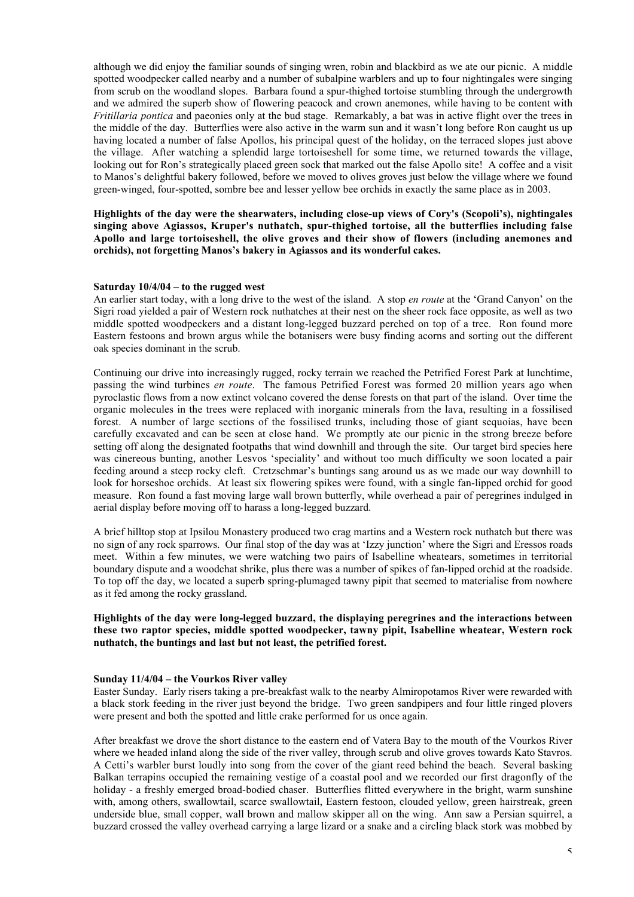although we did enjoy the familiar sounds of singing wren, robin and blackbird as we ate our picnic. A middle spotted woodpecker called nearby and a number of subalpine warblers and up to four nightingales were singing from scrub on the woodland slopes. Barbara found a spur-thighed tortoise stumbling through the undergrowth and we admired the superb show of flowering peacock and crown anemones, while having to be content with *Fritillaria pontica* and paeonies only at the bud stage. Remarkably, a bat was in active flight over the trees in the middle of the day. Butterflies were also active in the warm sun and it wasn't long before Ron caught us up having located a number of false Apollos, his principal quest of the holiday, on the terraced slopes just above the village. After watching a splendid large tortoiseshell for some time, we returned towards the village, looking out for Ron's strategically placed green sock that marked out the false Apollo site! A coffee and a visit to Manos's delightful bakery followed, before we moved to olives groves just below the village where we found green-winged, four-spotted, sombre bee and lesser yellow bee orchids in exactly the same place as in 2003.

**Highlights of the day were the shearwaters, including close-up views of Cory's (Scopoli's), nightingales singing above Agiassos, Kruper's nuthatch, spur-thighed tortoise, all the butterflies including false Apollo and large tortoiseshell, the olive groves and their show of flowers (including anemones and orchids), not forgetting Manos's bakery in Agiassos and its wonderful cakes.**

## **Saturday 10/4/04 – to the rugged west**

An earlier start today, with a long drive to the west of the island. A stop *en route* at the 'Grand Canyon' on the Sigri road yielded a pair of Western rock nuthatches at their nest on the sheer rock face opposite, as well as two middle spotted woodpeckers and a distant long-legged buzzard perched on top of a tree. Ron found more Eastern festoons and brown argus while the botanisers were busy finding acorns and sorting out the different oak species dominant in the scrub.

Continuing our drive into increasingly rugged, rocky terrain we reached the Petrified Forest Park at lunchtime, passing the wind turbines *en route*. The famous Petrified Forest was formed 20 million years ago when pyroclastic flows from a now extinct volcano covered the dense forests on that part of the island. Over time the organic molecules in the trees were replaced with inorganic minerals from the lava, resulting in a fossilised forest. A number of large sections of the fossilised trunks, including those of giant sequoias, have been carefully excavated and can be seen at close hand. We promptly ate our picnic in the strong breeze before setting off along the designated footpaths that wind downhill and through the site. Our target bird species here was cinereous bunting, another Lesvos 'speciality' and without too much difficulty we soon located a pair feeding around a steep rocky cleft. Cretzschmar's buntings sang around us as we made our way downhill to look for horseshoe orchids. At least six flowering spikes were found, with a single fan-lipped orchid for good measure. Ron found a fast moving large wall brown butterfly, while overhead a pair of peregrines indulged in aerial display before moving off to harass a long-legged buzzard.

A brief hilltop stop at Ipsilou Monastery produced two crag martins and a Western rock nuthatch but there was no sign of any rock sparrows. Our final stop of the day was at 'Izzy junction' where the Sigri and Eressos roads meet. Within a few minutes, we were watching two pairs of Isabelline wheatears, sometimes in territorial boundary dispute and a woodchat shrike, plus there was a number of spikes of fan-lipped orchid at the roadside. To top off the day, we located a superb spring-plumaged tawny pipit that seemed to materialise from nowhere as it fed among the rocky grassland.

## **Highlights of the day were long-legged buzzard, the displaying peregrines and the interactions between these two raptor species, middle spotted woodpecker, tawny pipit, Isabelline wheatear, Western rock nuthatch, the buntings and last but not least, the petrified forest.**

#### **Sunday 11/4/04 – the Vourkos River valley**

Easter Sunday. Early risers taking a pre-breakfast walk to the nearby Almiropotamos River were rewarded with a black stork feeding in the river just beyond the bridge. Two green sandpipers and four little ringed plovers were present and both the spotted and little crake performed for us once again.

After breakfast we drove the short distance to the eastern end of Vatera Bay to the mouth of the Vourkos River where we headed inland along the side of the river valley, through scrub and olive groves towards Kato Stavros. A Cetti's warbler burst loudly into song from the cover of the giant reed behind the beach. Several basking Balkan terrapins occupied the remaining vestige of a coastal pool and we recorded our first dragonfly of the holiday - a freshly emerged broad-bodied chaser. Butterflies flitted everywhere in the bright, warm sunshine with, among others, swallowtail, scarce swallowtail, Eastern festoon, clouded yellow, green hairstreak, green underside blue, small copper, wall brown and mallow skipper all on the wing. Ann saw a Persian squirrel, a buzzard crossed the valley overhead carrying a large lizard or a snake and a circling black stork was mobbed by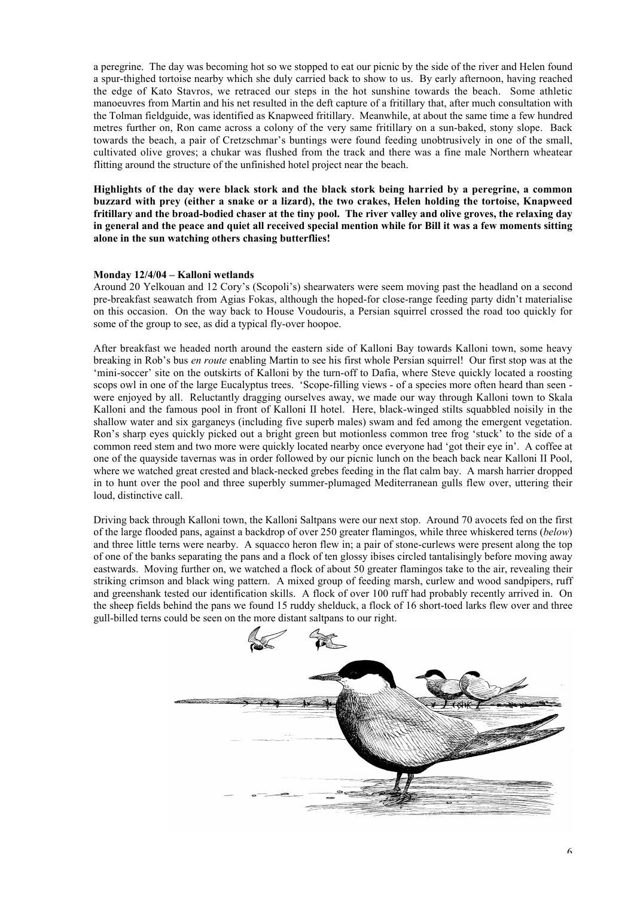a peregrine. The day was becoming hot so we stopped to eat our picnic by the side of the river and Helen found a spur-thighed tortoise nearby which she duly carried back to show to us. By early afternoon, having reached the edge of Kato Stavros, we retraced our steps in the hot sunshine towards the beach. Some athletic manoeuvres from Martin and his net resulted in the deft capture of a fritillary that, after much consultation with the Tolman fieldguide, was identified as Knapweed fritillary. Meanwhile, at about the same time a few hundred metres further on, Ron came across a colony of the very same fritillary on a sun-baked, stony slope. Back towards the beach, a pair of Cretzschmar's buntings were found feeding unobtrusively in one of the small, cultivated olive groves; a chukar was flushed from the track and there was a fine male Northern wheatear flitting around the structure of the unfinished hotel project near the beach.

**Highlights of the day were black stork and the black stork being harried by a peregrine, a common buzzard with prey (either a snake or a lizard), the two crakes, Helen holding the tortoise, Knapweed fritillary and the broad-bodied chaser at the tiny pool. The river valley and olive groves, the relaxing day in general and the peace and quiet all received special mention while for Bill it was a few moments sitting alone in the sun watching others chasing butterflies!**

#### **Monday 12/4/04 – Kalloni wetlands**

Around 20 Yelkouan and 12 Cory's (Scopoli's) shearwaters were seem moving past the headland on a second pre-breakfast seawatch from Agias Fokas, although the hoped-for close-range feeding party didn't materialise on this occasion. On the way back to House Voudouris, a Persian squirrel crossed the road too quickly for some of the group to see, as did a typical fly-over hoopoe.

After breakfast we headed north around the eastern side of Kalloni Bay towards Kalloni town, some heavy breaking in Rob's bus *en route* enabling Martin to see his first whole Persian squirrel! Our first stop was at the 'mini-soccer' site on the outskirts of Kalloni by the turn-off to Dafia, where Steve quickly located a roosting scops owl in one of the large Eucalyptus trees. 'Scope-filling views - of a species more often heard than seen were enjoyed by all. Reluctantly dragging ourselves away, we made our way through Kalloni town to Skala Kalloni and the famous pool in front of Kalloni II hotel. Here, black-winged stilts squabbled noisily in the shallow water and six garganeys (including five superb males) swam and fed among the emergent vegetation. Ron's sharp eyes quickly picked out a bright green but motionless common tree frog 'stuck' to the side of a common reed stem and two more were quickly located nearby once everyone had 'got their eye in'. A coffee at one of the quayside tavernas was in order followed by our picnic lunch on the beach back near Kalloni II Pool, where we watched great crested and black-necked grebes feeding in the flat calm bay. A marsh harrier dropped in to hunt over the pool and three superbly summer-plumaged Mediterranean gulls flew over, uttering their loud, distinctive call.

Driving back through Kalloni town, the Kalloni Saltpans were our next stop. Around 70 avocets fed on the first of the large flooded pans, against a backdrop of over 250 greater flamingos, while three whiskered terns (*below*) and three little terns were nearby. A squacco heron flew in; a pair of stone-curlews were present along the top of one of the banks separating the pans and a flock of ten glossy ibises circled tantalisingly before moving away eastwards. Moving further on, we watched a flock of about 50 greater flamingos take to the air, revealing their striking crimson and black wing pattern. A mixed group of feeding marsh, curlew and wood sandpipers, ruff and greenshank tested our identification skills. A flock of over 100 ruff had probably recently arrived in. On the sheep fields behind the pans we found 15 ruddy shelduck, a flock of 16 short-toed larks flew over and three gull-billed terns could be seen on the more distant saltpans to our right.

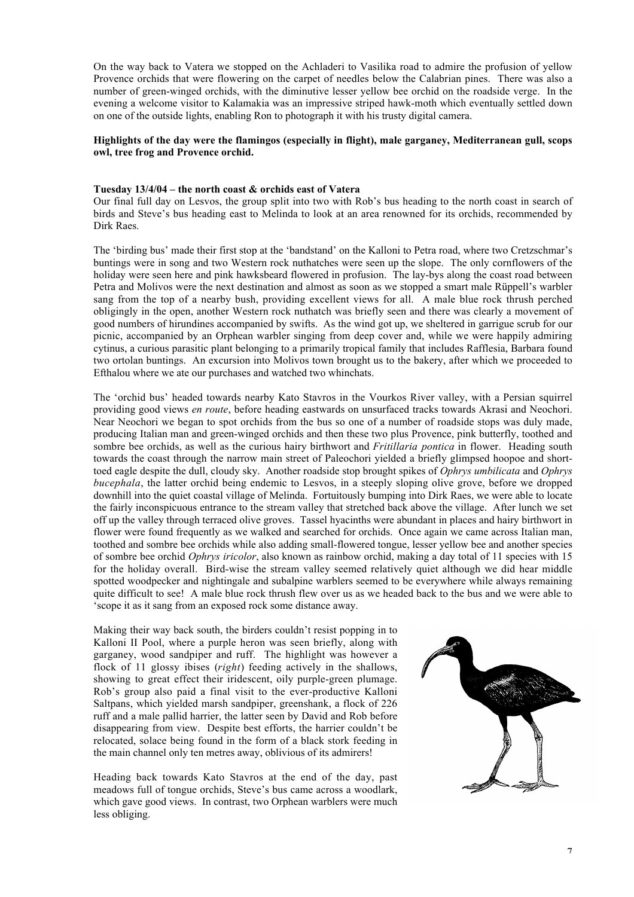On the way back to Vatera we stopped on the Achladeri to Vasilika road to admire the profusion of yellow Provence orchids that were flowering on the carpet of needles below the Calabrian pines. There was also a number of green-winged orchids, with the diminutive lesser yellow bee orchid on the roadside verge. In the evening a welcome visitor to Kalamakia was an impressive striped hawk-moth which eventually settled down on one of the outside lights, enabling Ron to photograph it with his trusty digital camera.

## **Highlights of the day were the flamingos (especially in flight), male garganey, Mediterranean gull, scops owl, tree frog and Provence orchid.**

### **Tuesday 13/4/04 – the north coast & orchids east of Vatera**

Our final full day on Lesvos, the group split into two with Rob's bus heading to the north coast in search of birds and Steve's bus heading east to Melinda to look at an area renowned for its orchids, recommended by Dirk Raes.

The 'birding bus' made their first stop at the 'bandstand' on the Kalloni to Petra road, where two Cretzschmar's buntings were in song and two Western rock nuthatches were seen up the slope. The only cornflowers of the holiday were seen here and pink hawksbeard flowered in profusion. The lay-bys along the coast road between Petra and Molivos were the next destination and almost as soon as we stopped a smart male Rüppell's warbler sang from the top of a nearby bush, providing excellent views for all. A male blue rock thrush perched obligingly in the open, another Western rock nuthatch was briefly seen and there was clearly a movement of good numbers of hirundines accompanied by swifts. As the wind got up, we sheltered in garrigue scrub for our picnic, accompanied by an Orphean warbler singing from deep cover and, while we were happily admiring cytinus, a curious parasitic plant belonging to a primarily tropical family that includes Rafflesia, Barbara found two ortolan buntings. An excursion into Molivos town brought us to the bakery, after which we proceeded to Efthalou where we ate our purchases and watched two whinchats.

The 'orchid bus' headed towards nearby Kato Stavros in the Vourkos River valley, with a Persian squirrel providing good views *en route*, before heading eastwards on unsurfaced tracks towards Akrasi and Neochori. Near Neochori we began to spot orchids from the bus so one of a number of roadside stops was duly made, producing Italian man and green-winged orchids and then these two plus Provence, pink butterfly, toothed and sombre bee orchids, as well as the curious hairy birthwort and *Fritillaria pontica* in flower. Heading south towards the coast through the narrow main street of Paleochori yielded a briefly glimpsed hoopoe and shorttoed eagle despite the dull, cloudy sky. Another roadside stop brought spikes of *Ophrys umbilicata* and *Ophrys bucephala*, the latter orchid being endemic to Lesvos, in a steeply sloping olive grove, before we dropped downhill into the quiet coastal village of Melinda. Fortuitously bumping into Dirk Raes, we were able to locate the fairly inconspicuous entrance to the stream valley that stretched back above the village. After lunch we set off up the valley through terraced olive groves. Tassel hyacinths were abundant in places and hairy birthwort in flower were found frequently as we walked and searched for orchids. Once again we came across Italian man, toothed and sombre bee orchids while also adding small-flowered tongue, lesser yellow bee and another species of sombre bee orchid *Ophrys iricolor*, also known as rainbow orchid, making a day total of 11 species with 15 for the holiday overall. Bird-wise the stream valley seemed relatively quiet although we did hear middle spotted woodpecker and nightingale and subalpine warblers seemed to be everywhere while always remaining quite difficult to see! A male blue rock thrush flew over us as we headed back to the bus and we were able to 'scope it as it sang from an exposed rock some distance away.

Making their way back south, the birders couldn't resist popping in to Kalloni II Pool, where a purple heron was seen briefly, along with garganey, wood sandpiper and ruff. The highlight was however a flock of 11 glossy ibises (*right*) feeding actively in the shallows, showing to great effect their iridescent, oily purple-green plumage. Rob's group also paid a final visit to the ever-productive Kalloni Saltpans, which yielded marsh sandpiper, greenshank, a flock of 226 ruff and a male pallid harrier, the latter seen by David and Rob before disappearing from view. Despite best efforts, the harrier couldn't be relocated, solace being found in the form of a black stork feeding in the main channel only ten metres away, oblivious of its admirers!

Heading back towards Kato Stavros at the end of the day, past meadows full of tongue orchids, Steve's bus came across a woodlark, which gave good views. In contrast, two Orphean warblers were much less obliging.

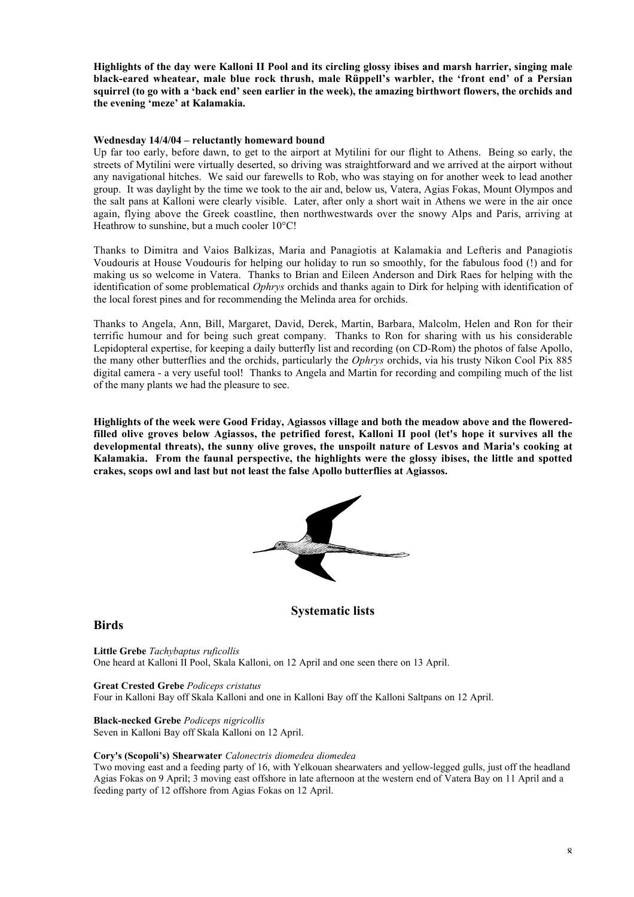**Highlights of the day were Kalloni II Pool and its circling glossy ibises and marsh harrier, singing male black-eared wheatear, male blue rock thrush, male Rüppell's warbler, the 'front end' of a Persian squirrel (to go with a 'back end' seen earlier in the week), the amazing birthwort flowers, the orchids and the evening 'meze' at Kalamakia.**

## **Wednesday 14/4/04 – reluctantly homeward bound**

Up far too early, before dawn, to get to the airport at Mytilini for our flight to Athens. Being so early, the streets of Mytilini were virtually deserted, so driving was straightforward and we arrived at the airport without any navigational hitches. We said our farewells to Rob, who was staying on for another week to lead another group. It was daylight by the time we took to the air and, below us, Vatera, Agias Fokas, Mount Olympos and the salt pans at Kalloni were clearly visible. Later, after only a short wait in Athens we were in the air once again, flying above the Greek coastline, then northwestwards over the snowy Alps and Paris, arriving at Heathrow to sunshine, but a much cooler 10°C!

Thanks to Dimitra and Vaios Balkizas, Maria and Panagiotis at Kalamakia and Lefteris and Panagiotis Voudouris at House Voudouris for helping our holiday to run so smoothly, for the fabulous food (!) and for making us so welcome in Vatera. Thanks to Brian and Eileen Anderson and Dirk Raes for helping with the identification of some problematical *Ophrys* orchids and thanks again to Dirk for helping with identification of the local forest pines and for recommending the Melinda area for orchids.

Thanks to Angela, Ann, Bill, Margaret, David, Derek, Martin, Barbara, Malcolm, Helen and Ron for their terrific humour and for being such great company. Thanks to Ron for sharing with us his considerable Lepidopteral expertise, for keeping a daily butterfly list and recording (on CD-Rom) the photos of false Apollo, the many other butterflies and the orchids, particularly the *Ophrys* orchids, via his trusty Nikon Cool Pix 885 digital camera - a very useful tool! Thanks to Angela and Martin for recording and compiling much of the list of the many plants we had the pleasure to see.

**Highlights of the week were Good Friday, Agiassos village and both the meadow above and the floweredfilled olive groves below Agiassos, the petrified forest, Kalloni II pool (let's hope it survives all the developmental threats), the sunny olive groves, the unspoilt nature of Lesvos and Maria's cooking at Kalamakia. From the faunal perspective, the highlights were the glossy ibises, the little and spotted crakes, scops owl and last but not least the false Apollo butterflies at Agiassos.**



## **Systematic lists**

## **Birds**

**Little Grebe** *Tachybaptus ruficollis* One heard at Kalloni II Pool, Skala Kalloni, on 12 April and one seen there on 13 April.

## **Great Crested Grebe** *Podiceps cristatus*

Four in Kalloni Bay off Skala Kalloni and one in Kalloni Bay off the Kalloni Saltpans on 12 April.

## **Black-necked Grebe** *Podiceps nigricollis*

Seven in Kalloni Bay off Skala Kalloni on 12 April.

#### **Cory's (Scopoli's) Shearwater** *Calonectris diomedea diomedea*

Two moving east and a feeding party of 16, with Yelkouan shearwaters and yellow-legged gulls, just off the headland Agias Fokas on 9 April; 3 moving east offshore in late afternoon at the western end of Vatera Bay on 11 April and a feeding party of 12 offshore from Agias Fokas on 12 April.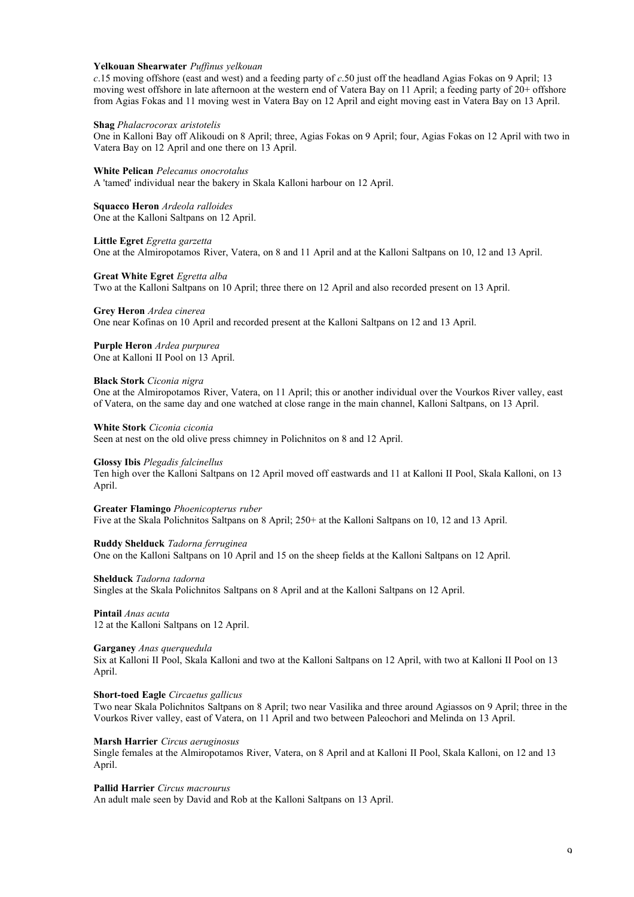#### **Yelkouan Shearwater** *Puffinus yelkouan*

*c*.15 moving offshore (east and west) and a feeding party of *c*.50 just off the headland Agias Fokas on 9 April; 13 moving west offshore in late afternoon at the western end of Vatera Bay on 11 April; a feeding party of 20+ offshore from Agias Fokas and 11 moving west in Vatera Bay on 12 April and eight moving east in Vatera Bay on 13 April.

#### **Shag** *Phalacrocorax aristotelis*

One in Kalloni Bay off Alikoudi on 8 April; three, Agias Fokas on 9 April; four, Agias Fokas on 12 April with two in Vatera Bay on 12 April and one there on 13 April.

**White Pelican** *Pelecanus onocrotalus*

A 'tamed' individual near the bakery in Skala Kalloni harbour on 12 April.

**Squacco Heron** *Ardeola ralloides* One at the Kalloni Saltpans on 12 April.

**Little Egret** *Egretta garzetta* One at the Almiropotamos River, Vatera, on 8 and 11 April and at the Kalloni Saltpans on 10, 12 and 13 April.

#### **Great White Egret** *Egretta alba*

Two at the Kalloni Saltpans on 10 April; three there on 12 April and also recorded present on 13 April.

#### **Grey Heron** *Ardea cinerea*

One near Kofinas on 10 April and recorded present at the Kalloni Saltpans on 12 and 13 April.

#### **Purple Heron** *Ardea purpurea*

One at Kalloni II Pool on 13 April.

#### **Black Stork** *Ciconia nigra*

One at the Almiropotamos River, Vatera, on 11 April; this or another individual over the Vourkos River valley, east of Vatera, on the same day and one watched at close range in the main channel, Kalloni Saltpans, on 13 April.

#### **White Stork** *Ciconia ciconia*

Seen at nest on the old olive press chimney in Polichnitos on 8 and 12 April.

#### **Glossy Ibis** *Plegadis falcinellus*

Ten high over the Kalloni Saltpans on 12 April moved off eastwards and 11 at Kalloni II Pool, Skala Kalloni, on 13 April.

**Greater Flamingo** *Phoenicopterus ruber*

Five at the Skala Polichnitos Saltpans on 8 April; 250+ at the Kalloni Saltpans on 10, 12 and 13 April.

**Ruddy Shelduck** *Tadorna ferruginea* One on the Kalloni Saltpans on 10 April and 15 on the sheep fields at the Kalloni Saltpans on 12 April.

**Shelduck** *Tadorna tadorna*

Singles at the Skala Polichnitos Saltpans on 8 April and at the Kalloni Saltpans on 12 April.

**Pintail** *Anas acuta* 12 at the Kalloni Saltpans on 12 April.

#### **Garganey** *Anas querquedula*

Six at Kalloni II Pool, Skala Kalloni and two at the Kalloni Saltpans on 12 April, with two at Kalloni II Pool on 13 April.

#### **Short-toed Eagle** *Circaetus gallicus*

Two near Skala Polichnitos Saltpans on 8 April; two near Vasilika and three around Agiassos on 9 April; three in the Vourkos River valley, east of Vatera, on 11 April and two between Paleochori and Melinda on 13 April.

#### **Marsh Harrier** *Circus aeruginosus*

Single females at the Almiropotamos River, Vatera, on 8 April and at Kalloni II Pool, Skala Kalloni, on 12 and 13 April.

#### **Pallid Harrier** *Circus macrourus*

An adult male seen by David and Rob at the Kalloni Saltpans on 13 April.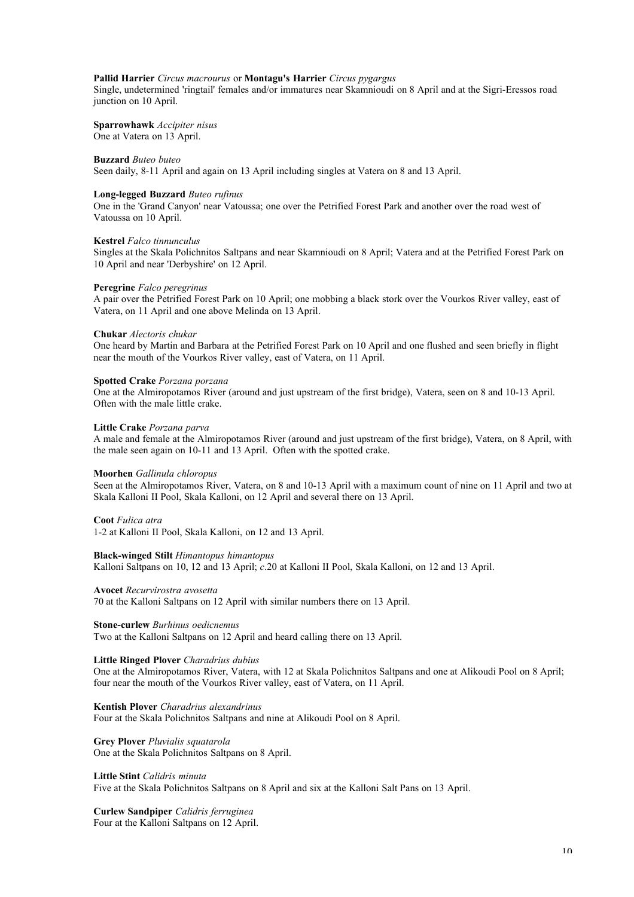## **Pallid Harrier** *Circus macrourus* or **Montagu's Harrier** *Circus pygargus*

Single, undetermined 'ringtail' females and/or immatures near Skamnioudi on 8 April and at the Sigri-Eressos road junction on 10 April.

#### **Sparrowhawk** *Accipiter nisus*

One at Vatera on 13 April.

#### **Buzzard** *Buteo buteo*

Seen daily, 8-11 April and again on 13 April including singles at Vatera on 8 and 13 April.

#### **Long-legged Buzzard** *Buteo rufinus*

One in the 'Grand Canyon' near Vatoussa; one over the Petrified Forest Park and another over the road west of Vatoussa on 10 April.

#### **Kestrel** *Falco tinnunculus*

Singles at the Skala Polichnitos Saltpans and near Skamnioudi on 8 April; Vatera and at the Petrified Forest Park on 10 April and near 'Derbyshire' on 12 April.

#### **Peregrine** *Falco peregrinus*

A pair over the Petrified Forest Park on 10 April; one mobbing a black stork over the Vourkos River valley, east of Vatera, on 11 April and one above Melinda on 13 April.

#### **Chukar** *Alectoris chukar*

One heard by Martin and Barbara at the Petrified Forest Park on 10 April and one flushed and seen briefly in flight near the mouth of the Vourkos River valley, east of Vatera, on 11 April.

#### **Spotted Crake** *Porzana porzana*

One at the Almiropotamos River (around and just upstream of the first bridge), Vatera, seen on 8 and 10-13 April. Often with the male little crake.

#### **Little Crake** *Porzana parva*

A male and female at the Almiropotamos River (around and just upstream of the first bridge), Vatera, on 8 April, with the male seen again on 10-11 and 13 April. Often with the spotted crake.

#### **Moorhen** *Gallinula chloropus*

Seen at the Almiropotamos River, Vatera, on 8 and 10-13 April with a maximum count of nine on 11 April and two at Skala Kalloni II Pool, Skala Kalloni, on 12 April and several there on 13 April.

#### **Coot** *Fulica atra*

1-2 at Kalloni II Pool, Skala Kalloni, on 12 and 13 April.

#### **Black-winged Stilt** *Himantopus himantopus*

Kalloni Saltpans on 10, 12 and 13 April; *c*.20 at Kalloni II Pool, Skala Kalloni, on 12 and 13 April.

#### **Avocet** *Recurvirostra avosetta*

70 at the Kalloni Saltpans on 12 April with similar numbers there on 13 April.

#### **Stone-curlew** *Burhinus oedicnemus*

Two at the Kalloni Saltpans on 12 April and heard calling there on 13 April.

#### **Little Ringed Plover** *Charadrius dubius*

One at the Almiropotamos River, Vatera, with 12 at Skala Polichnitos Saltpans and one at Alikoudi Pool on 8 April; four near the mouth of the Vourkos River valley, east of Vatera, on 11 April.

## **Kentish Plover** *Charadrius alexandrinus*

Four at the Skala Polichnitos Saltpans and nine at Alikoudi Pool on 8 April.

#### **Grey Plover** *Pluvialis squatarola*

One at the Skala Polichnitos Saltpans on 8 April.

#### **Little Stint** *Calidris minuta*

Five at the Skala Polichnitos Saltpans on 8 April and six at the Kalloni Salt Pans on 13 April.

**Curlew Sandpiper** *Calidris ferruginea* Four at the Kalloni Saltpans on 12 April.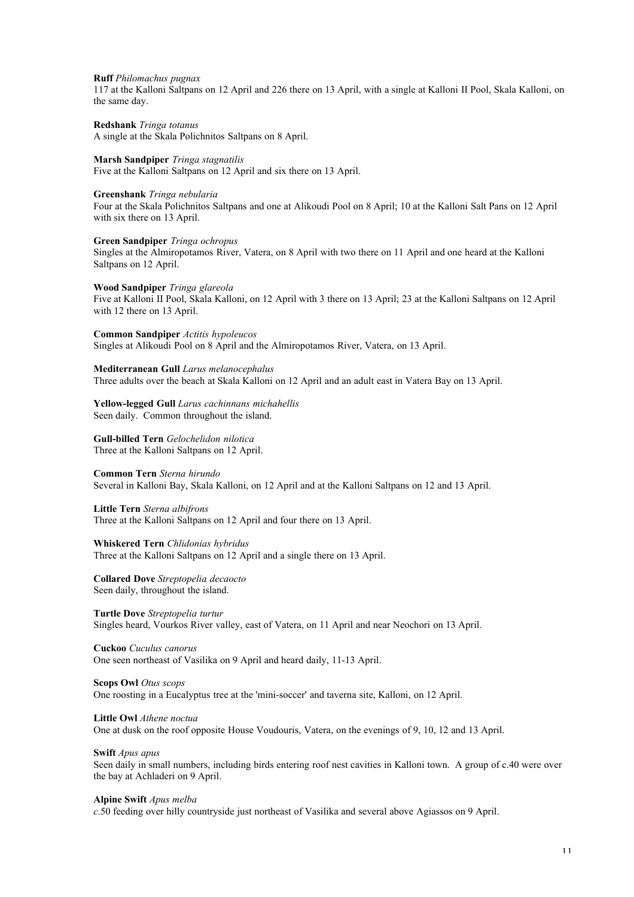#### **Ruff** *Philomachus pugnax*

117 at the Kalloni Saltpans on 12 April and 226 there on 13 April, with a single at Kalloni II Pool, Skala Kalloni, on the same day.

**Redshank** *Tringa totanus* A single at the Skala Polichnitos Saltpans on 8 April.

## **Marsh Sandpiper** *Tringa stagnatilis*

Five at the Kalloni Saltpans on 12 April and six there on 13 April.

#### **Greenshank** *Tringa nebularia*

Four at the Skala Polichnitos Saltpans and one at Alikoudi Pool on 8 April; 10 at the Kalloni Salt Pans on 12 April with six there on 13 April.

#### **Green Sandpiper** *Tringa ochropus*

Singles at the Almiropotamos River, Vatera, on 8 April with two there on 11 April and one heard at the Kalloni Saltpans on 12 April.

#### **Wood Sandpiper** *Tringa glareola*

Five at Kalloni II Pool, Skala Kalloni, on 12 April with 3 there on 13 April; 23 at the Kalloni Saltpans on 12 April with 12 there on 13 April.

**Common Sandpiper** *Actitis hypoleucos* Singles at Alikoudi Pool on 8 April and the Almiropotamos River, Vatera, on 13 April.

#### **Mediterranean Gull** *Larus melanocephalus*

Three adults over the beach at Skala Kalloni on 12 April and an adult east in Vatera Bay on 13 April.

#### **Yellow-legged Gull** *Larus cachinnans michahellis* Seen daily. Common throughout the island.

**Gull-billed Tern** *Gelochelidon nilotica* Three at the Kalloni Saltpans on 12 April.

#### **Common Tern** *Sterna hirundo*

Several in Kalloni Bay, Skala Kalloni, on 12 April and at the Kalloni Saltpans on 12 and 13 April.

**Little Tern** *Sterna albifrons* Three at the Kalloni Saltpans on 12 April and four there on 13 April.

**Whiskered Tern** *Chlidonias hybridus* Three at the Kalloni Saltpans on 12 April and a single there on 13 April.

#### **Collared Dove** *Streptopelia decaocto* Seen daily, throughout the island.

**Turtle Dove** *Streptopelia turtur* Singles heard, Vourkos River valley, east of Vatera, on 11 April and near Neochori on 13 April.

**Cuckoo** *Cuculus canorus* One seen northeast of Vasilika on 9 April and heard daily, 11-13 April.

#### **Scops Owl** *Otus scops*

One roosting in a Eucalyptus tree at the 'mini-soccer' and taverna site, Kalloni, on 12 April.

#### **Little Owl** *Athene noctua*

One at dusk on the roof opposite House Voudouris, Vatera, on the evenings of 9, 10, 12 and 13 April.

## **Swift** *Apus apus*

Seen daily in small numbers, including birds entering roof nest cavities in Kalloni town. A group of c.40 were over the bay at Achladeri on 9 April.

#### **Alpine Swift** *Apus melba*

*c*.50 feeding over hilly countryside just northeast of Vasilika and several above Agiassos on 9 April.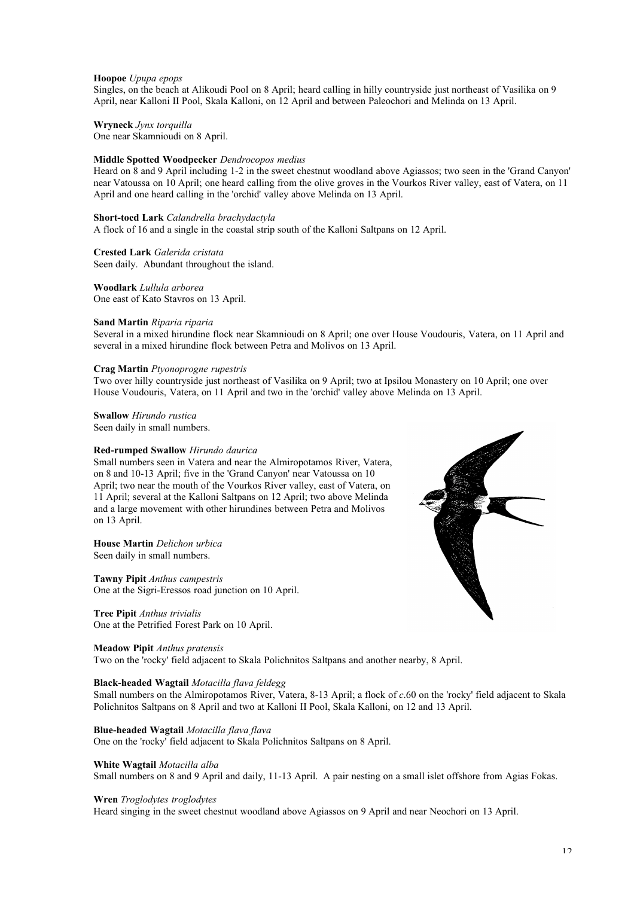#### **Hoopoe** *Upupa epops*

Singles, on the beach at Alikoudi Pool on 8 April; heard calling in hilly countryside just northeast of Vasilika on 9 April, near Kalloni II Pool, Skala Kalloni, on 12 April and between Paleochori and Melinda on 13 April.

**Wryneck** *Jynx torquilla*

One near Skamnioudi on 8 April.

## **Middle Spotted Woodpecker** *Dendrocopos medius*

Heard on 8 and 9 April including 1-2 in the sweet chestnut woodland above Agiassos; two seen in the 'Grand Canyon' near Vatoussa on 10 April; one heard calling from the olive groves in the Vourkos River valley, east of Vatera, on 11 April and one heard calling in the 'orchid' valley above Melinda on 13 April.

#### **Short-toed Lark** *Calandrella brachydactyla*

A flock of 16 and a single in the coastal strip south of the Kalloni Saltpans on 12 April.

#### **Crested Lark** *Galerida cristata*

Seen daily. Abundant throughout the island.

## **Woodlark** *Lullula arborea*

One east of Kato Stavros on 13 April.

#### **Sand Martin** *Riparia riparia*

Several in a mixed hirundine flock near Skamnioudi on 8 April; one over House Voudouris, Vatera, on 11 April and several in a mixed hirundine flock between Petra and Molivos on 13 April.

#### **Crag Martin** *Ptyonoprogne rupestris*

Two over hilly countryside just northeast of Vasilika on 9 April; two at Ipsilou Monastery on 10 April; one over House Voudouris, Vatera, on 11 April and two in the 'orchid' valley above Melinda on 13 April.

**Swallow** *Hirundo rustica* Seen daily in small numbers.

#### **Red-rumped Swallow** *Hirundo daurica*

Small numbers seen in Vatera and near the Almiropotamos River, Vatera, on 8 and 10-13 April; five in the 'Grand Canyon' near Vatoussa on 10 April; two near the mouth of the Vourkos River valley, east of Vatera, on 11 April; several at the Kalloni Saltpans on 12 April; two above Melinda and a large movement with other hirundines between Petra and Molivos on 13 April.

#### **House Martin** *Delichon urbica* Seen daily in small numbers.

**Tawny Pipit** *Anthus campestris* One at the Sigri-Eressos road junction on 10 April.

#### **Tree Pipit** *Anthus trivialis* One at the Petrified Forest Park on 10 April.

#### **Meadow Pipit** *Anthus pratensis*

Two on the 'rocky' field adjacent to Skala Polichnitos Saltpans and another nearby, 8 April.

#### **Black-headed Wagtail** *Motacilla flava feldegg*

Small numbers on the Almiropotamos River, Vatera, 8-13 April; a flock of *c*.60 on the 'rocky' field adjacent to Skala Polichnitos Saltpans on 8 April and two at Kalloni II Pool, Skala Kalloni, on 12 and 13 April.

#### **Blue-headed Wagtail** *Motacilla flava flava*

One on the 'rocky' field adjacent to Skala Polichnitos Saltpans on 8 April.

#### **White Wagtail** *Motacilla alba*

Small numbers on 8 and 9 April and daily, 11-13 April. A pair nesting on a small islet offshore from Agias Fokas.

#### **Wren** *Troglodytes troglodytes*

Heard singing in the sweet chestnut woodland above Agiassos on 9 April and near Neochori on 13 April.

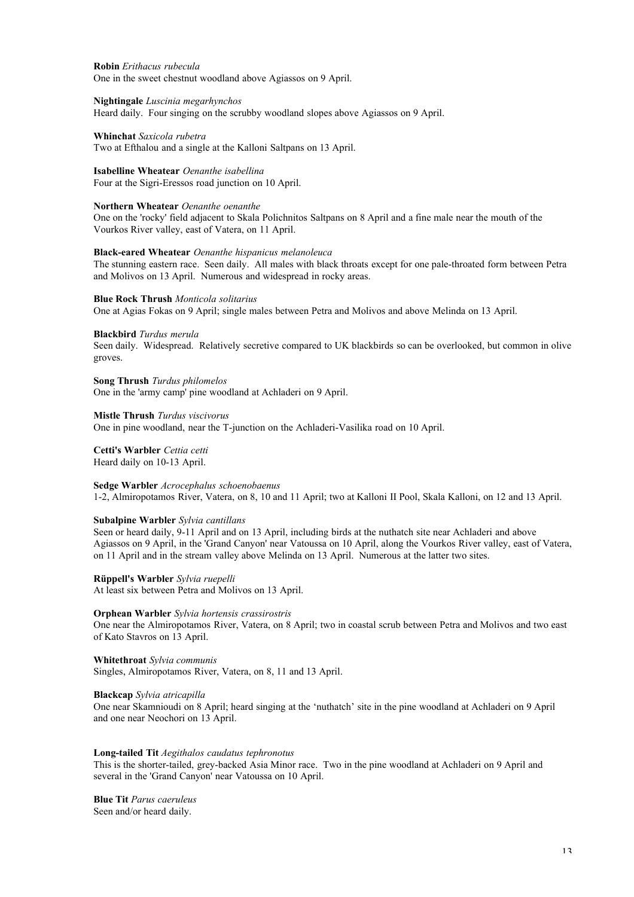**Robin** *Erithacus rubecula* One in the sweet chestnut woodland above Agiassos on 9 April.

#### **Nightingale** *Luscinia megarhynchos*

Heard daily. Four singing on the scrubby woodland slopes above Agiassos on 9 April.

**Whinchat** *Saxicola rubetra*

Two at Efthalou and a single at the Kalloni Saltpans on 13 April.

## **Isabelline Wheatear** *Oenanthe isabellina*

Four at the Sigri-Eressos road junction on 10 April.

#### **Northern Wheatear** *Oenanthe oenanthe*

One on the 'rocky' field adjacent to Skala Polichnitos Saltpans on 8 April and a fine male near the mouth of the Vourkos River valley, east of Vatera, on 11 April.

#### **Black-eared Wheatear** *Oenanthe hispanicus melanoleuca*

The stunning eastern race. Seen daily. All males with black throats except for one pale-throated form between Petra and Molivos on 13 April. Numerous and widespread in rocky areas.

#### **Blue Rock Thrush** *Monticola solitarius*

One at Agias Fokas on 9 April; single males between Petra and Molivos and above Melinda on 13 April.

#### **Blackbird** *Turdus merula*

Seen daily. Widespread. Relatively secretive compared to UK blackbirds so can be overlooked, but common in olive groves.

**Song Thrush** *Turdus philomelos* One in the 'army camp' pine woodland at Achladeri on 9 April.

**Mistle Thrush** *Turdus viscivorus* One in pine woodland, near the T-junction on the Achladeri-Vasilika road on 10 April.

**Cetti's Warbler** *Cettia cetti* Heard daily on 10-13 April.

**Sedge Warbler** *Acrocephalus schoenobaenus* 1-2, Almiropotamos River, Vatera, on 8, 10 and 11 April; two at Kalloni II Pool, Skala Kalloni, on 12 and 13 April.

#### **Subalpine Warbler** *Sylvia cantillans*

Seen or heard daily, 9-11 April and on 13 April, including birds at the nuthatch site near Achladeri and above Agiassos on 9 April, in the 'Grand Canyon' near Vatoussa on 10 April, along the Vourkos River valley, east of Vatera, on 11 April and in the stream valley above Melinda on 13 April. Numerous at the latter two sites.

**Rüppell's Warbler** *Sylvia ruepelli* At least six between Petra and Molivos on 13 April.

#### **Orphean Warbler** *Sylvia hortensis crassirostris*

One near the Almiropotamos River, Vatera, on 8 April; two in coastal scrub between Petra and Molivos and two east of Kato Stavros on 13 April.

**Whitethroat** *Sylvia communis* Singles, Almiropotamos River, Vatera, on 8, 11 and 13 April.

#### **Blackcap** *Sylvia atricapilla*

One near Skamnioudi on 8 April; heard singing at the 'nuthatch' site in the pine woodland at Achladeri on 9 April and one near Neochori on 13 April.

#### **Long-tailed Tit** *Aegithalos caudatus tephronotus*

This is the shorter-tailed, grey-backed Asia Minor race. Two in the pine woodland at Achladeri on 9 April and several in the 'Grand Canyon' near Vatoussa on 10 April.

**Blue Tit** *Parus caeruleus* Seen and/or heard daily.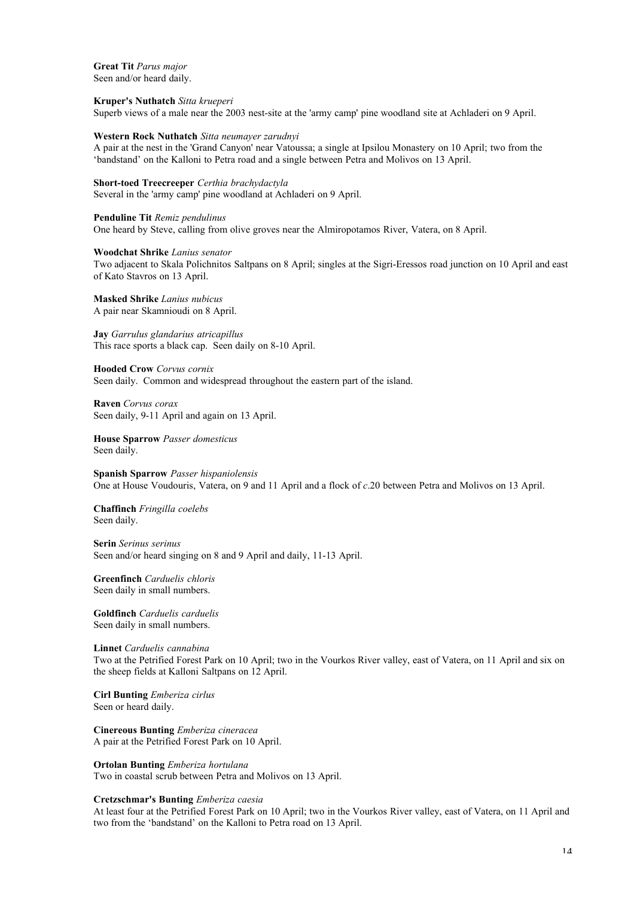**Great Tit** *Parus major* Seen and/or heard daily.

#### **Kruper's Nuthatch** *Sitta krueperi*

Superb views of a male near the 2003 nest-site at the 'army camp' pine woodland site at Achladeri on 9 April.

#### **Western Rock Nuthatch** *Sitta neumayer zarudnyi*

A pair at the nest in the 'Grand Canyon' near Vatoussa; a single at Ipsilou Monastery on 10 April; two from the 'bandstand' on the Kalloni to Petra road and a single between Petra and Molivos on 13 April.

## **Short-toed Treecreeper** *Certhia brachydactyla*

Several in the 'army camp' pine woodland at Achladeri on 9 April.

#### **Penduline Tit** *Remiz pendulinus*

One heard by Steve, calling from olive groves near the Almiropotamos River, Vatera, on 8 April.

#### **Woodchat Shrike** *Lanius senator*

Two adjacent to Skala Polichnitos Saltpans on 8 April; singles at the Sigri-Eressos road junction on 10 April and east of Kato Stavros on 13 April.

**Masked Shrike** *Lanius nubicus* A pair near Skamnioudi on 8 April.

**Jay** *Garrulus glandarius atricapillus* This race sports a black cap. Seen daily on 8-10 April.

**Hooded Crow** *Corvus cornix* Seen daily. Common and widespread throughout the eastern part of the island.

**Raven** *Corvus corax* Seen daily, 9-11 April and again on 13 April.

**House Sparrow** *Passer domesticus* Seen daily.

**Spanish Sparrow** *Passer hispaniolensis* One at House Voudouris, Vatera, on 9 and 11 April and a flock of *c*.20 between Petra and Molivos on 13 April.

**Chaffinch** *Fringilla coelebs* Seen daily.

**Serin** *Serinus serinus* Seen and/or heard singing on 8 and 9 April and daily, 11-13 April.

**Greenfinch** *Carduelis chloris* Seen daily in small numbers.

**Goldfinch** *Carduelis carduelis* Seen daily in small numbers.

#### **Linnet** *Carduelis cannabina*

Two at the Petrified Forest Park on 10 April; two in the Vourkos River valley, east of Vatera, on 11 April and six on the sheep fields at Kalloni Saltpans on 12 April.

**Cirl Bunting** *Emberiza cirlus* Seen or heard daily.

**Cinereous Bunting** *Emberiza cineracea* A pair at the Petrified Forest Park on 10 April.

**Ortolan Bunting** *Emberiza hortulana*

Two in coastal scrub between Petra and Molivos on 13 April.

#### **Cretzschmar's Bunting** *Emberiza caesia*

At least four at the Petrified Forest Park on 10 April; two in the Vourkos River valley, east of Vatera, on 11 April and two from the 'bandstand' on the Kalloni to Petra road on 13 April.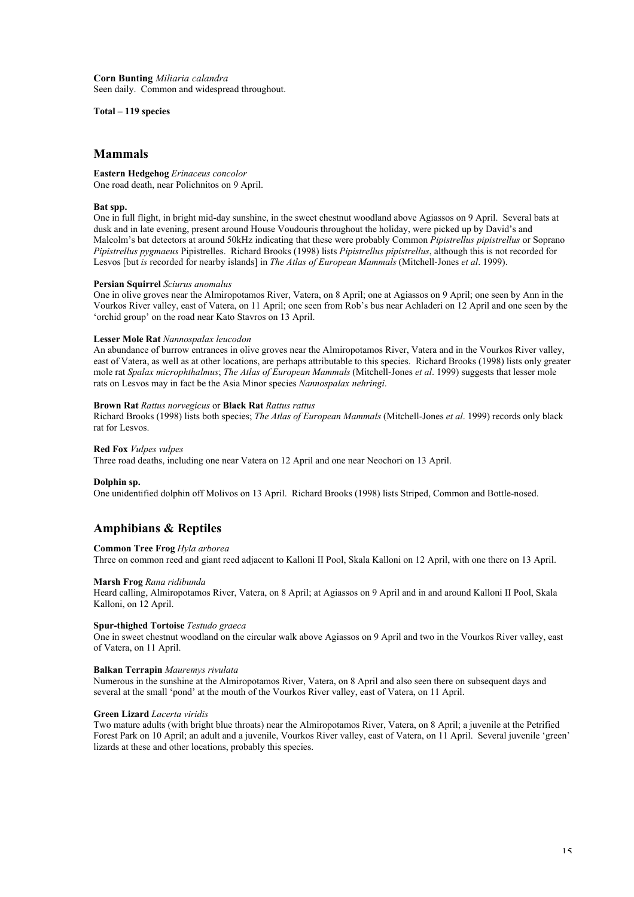**Corn Bunting** *Miliaria calandra* Seen daily. Common and widespread throughout.

**Total – 119 species**

## **Mammals**

**Eastern Hedgehog** *Erinaceus concolor* One road death, near Polichnitos on 9 April.

#### **Bat spp.**

One in full flight, in bright mid-day sunshine, in the sweet chestnut woodland above Agiassos on 9 April. Several bats at dusk and in late evening, present around House Voudouris throughout the holiday, were picked up by David's and Malcolm's bat detectors at around 50kHz indicating that these were probably Common *Pipistrellus pipistrellus* or Soprano *Pipistrellus pygmaeus* Pipistrelles. Richard Brooks (1998) lists *Pipistrellus pipistrellus*, although this is not recorded for Lesvos [but *is* recorded for nearby islands] in *The Atlas of European Mammals* (Mitchell-Jones *et al*. 1999).

#### **Persian Squirrel** *Sciurus anomalus*

One in olive groves near the Almiropotamos River, Vatera, on 8 April; one at Agiassos on 9 April; one seen by Ann in the Vourkos River valley, east of Vatera, on 11 April; one seen from Rob's bus near Achladeri on 12 April and one seen by the 'orchid group' on the road near Kato Stavros on 13 April.

#### **Lesser Mole Rat** *Nannospalax leucodon*

An abundance of burrow entrances in olive groves near the Almiropotamos River, Vatera and in the Vourkos River valley, east of Vatera, as well as at other locations, are perhaps attributable to this species. Richard Brooks (1998) lists only greater mole rat *Spalax microphthalmus*; *The Atlas of European Mammals* (Mitchell-Jones *et al*. 1999) suggests that lesser mole rats on Lesvos may in fact be the Asia Minor species *Nannospalax nehringi*.

## **Brown Rat** *Rattus norvegicus* or **Black Rat** *Rattus rattus*

Richard Brooks (1998) lists both species; *The Atlas of European Mammals* (Mitchell-Jones *et al*. 1999) records only black rat for Lesvos.

## **Red Fox** *Vulpes vulpes*

Three road deaths, including one near Vatera on 12 April and one near Neochori on 13 April.

#### **Dolphin sp.**

One unidentified dolphin off Molivos on 13 April. Richard Brooks (1998) lists Striped, Common and Bottle-nosed.

## **Amphibians & Reptiles**

#### **Common Tree Frog** *Hyla arborea*

Three on common reed and giant reed adjacent to Kalloni II Pool, Skala Kalloni on 12 April, with one there on 13 April.

#### **Marsh Frog** *Rana ridibunda*

Heard calling, Almiropotamos River, Vatera, on 8 April; at Agiassos on 9 April and in and around Kalloni II Pool, Skala Kalloni, on 12 April.

#### **Spur-thighed Tortoise** *Testudo graeca*

One in sweet chestnut woodland on the circular walk above Agiassos on 9 April and two in the Vourkos River valley, east of Vatera, on 11 April.

#### **Balkan Terrapin** *Mauremys rivulata*

Numerous in the sunshine at the Almiropotamos River, Vatera, on 8 April and also seen there on subsequent days and several at the small 'pond' at the mouth of the Vourkos River valley, east of Vatera, on 11 April.

#### **Green Lizard** *Lacerta viridis*

Two mature adults (with bright blue throats) near the Almiropotamos River, Vatera, on 8 April; a juvenile at the Petrified Forest Park on 10 April; an adult and a juvenile, Vourkos River valley, east of Vatera, on 11 April. Several juvenile 'green' lizards at these and other locations, probably this species.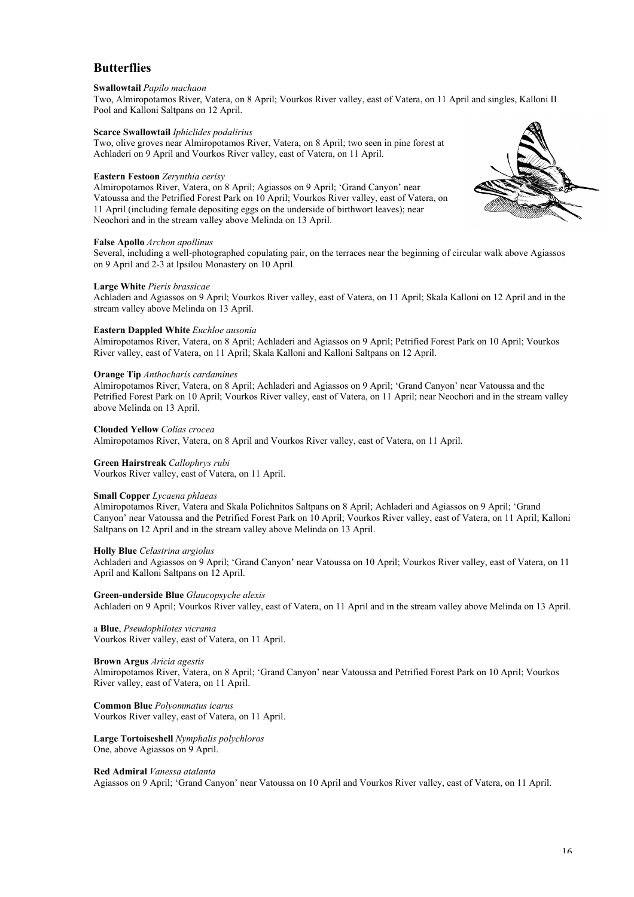## **Butterflies**

#### **Swallowtail** *Papilo machaon*

Two, Almiropotamos River, Vatera, on 8 April; Vourkos River valley, east of Vatera, on 11 April and singles, Kalloni II Pool and Kalloni Saltpans on 12 April.

#### **Scarce Swallowtail** *Iphiclides podalirius*

Two, olive groves near Almiropotamos River, Vatera, on 8 April; two seen in pine forest at Achladeri on 9 April and Vourkos River valley, east of Vatera, on 11 April.

#### **Eastern Festoon** *Zerynthia cerisy*

Almiropotamos River, Vatera, on 8 April; Agiassos on 9 April; 'Grand Canyon' near Vatoussa and the Petrified Forest Park on 10 April; Vourkos River valley, east of Vatera, on 11 April (including female depositing eggs on the underside of birthwort leaves); near Neochori and in the stream valley above Melinda on 13 April.

#### **False Apollo** *Archon apollinus*

Several, including a well-photographed copulating pair, on the terraces near the beginning of circular walk above Agiassos on 9 April and 2-3 at Ipsilou Monastery on 10 April.

#### **Large White** *Pieris brassicae*

Achladeri and Agiassos on 9 April; Vourkos River valley, east of Vatera, on 11 April; Skala Kalloni on 12 April and in the stream valley above Melinda on 13 April.

#### **Eastern Dappled White** *Euchloe ausonia*

Almiropotamos River, Vatera, on 8 April; Achladeri and Agiassos on 9 April; Petrified Forest Park on 10 April; Vourkos River valley, east of Vatera, on 11 April; Skala Kalloni and Kalloni Saltpans on 12 April.

#### **Orange Tip** *Anthocharis cardamines*

Almiropotamos River, Vatera, on 8 April; Achladeri and Agiassos on 9 April; 'Grand Canyon' near Vatoussa and the Petrified Forest Park on 10 April; Vourkos River valley, east of Vatera, on 11 April; near Neochori and in the stream valley above Melinda on 13 April.

#### **Clouded Yellow** *Colias crocea*

Almiropotamos River, Vatera, on 8 April and Vourkos River valley, east of Vatera, on 11 April.

#### **Green Hairstreak** *Callophrys rubi*

Vourkos River valley, east of Vatera, on 11 April.

#### **Small Copper** *Lycaena phlaeas*

Almiropotamos River, Vatera and Skala Polichnitos Saltpans on 8 April; Achladeri and Agiassos on 9 April; 'Grand Canyon' near Vatoussa and the Petrified Forest Park on 10 April; Vourkos River valley, east of Vatera, on 11 April; Kalloni Saltpans on 12 April and in the stream valley above Melinda on 13 April.

#### **Holly Blue** *Celastrina argiolus*

Achladeri and Agiassos on 9 April; 'Grand Canyon' near Vatoussa on 10 April; Vourkos River valley, east of Vatera, on 11 April and Kalloni Saltpans on 12 April.

**Green-underside Blue** *Glaucopsyche alexis* Achladeri on 9 April; Vourkos River valley, east of Vatera, on 11 April and in the stream valley above Melinda on 13 April.

## a **Blue**, *Pseudophilotes vicrama*

Vourkos River valley, east of Vatera, on 11 April.

#### **Brown Argus** *Aricia agestis*

Almiropotamos River, Vatera, on 8 April; 'Grand Canyon' near Vatoussa and Petrified Forest Park on 10 April; Vourkos River valley, east of Vatera, on 11 April.

#### **Common Blue** *Polyommatus icarus*

Vourkos River valley, east of Vatera, on 11 April.

**Large Tortoiseshell** *Nymphalis polychloros* One, above Agiassos on 9 April.

#### **Red Admiral** *Vanessa atalanta*

Agiassos on 9 April; 'Grand Canyon' near Vatoussa on 10 April and Vourkos River valley, east of Vatera, on 11 April.

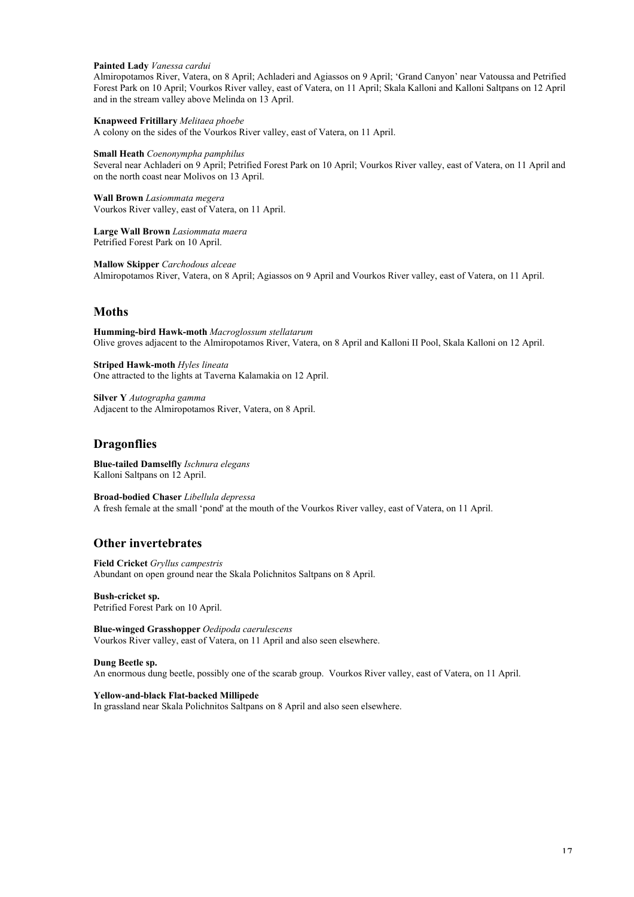#### **Painted Lady** *Vanessa cardui*

Almiropotamos River, Vatera, on 8 April; Achladeri and Agiassos on 9 April; 'Grand Canyon' near Vatoussa and Petrified Forest Park on 10 April; Vourkos River valley, east of Vatera, on 11 April; Skala Kalloni and Kalloni Saltpans on 12 April and in the stream valley above Melinda on 13 April.

**Knapweed Fritillary** *Melitaea phoebe* A colony on the sides of the Vourkos River valley, east of Vatera, on 11 April.

**Small Heath** *Coenonympha pamphilus*

Several near Achladeri on 9 April; Petrified Forest Park on 10 April; Vourkos River valley, east of Vatera, on 11 April and on the north coast near Molivos on 13 April.

**Wall Brown** *Lasiommata megera* Vourkos River valley, east of Vatera, on 11 April.

**Large Wall Brown** *Lasiommata maera* Petrified Forest Park on 10 April.

**Mallow Skipper** *Carchodous alceae* Almiropotamos River, Vatera, on 8 April; Agiassos on 9 April and Vourkos River valley, east of Vatera, on 11 April.

## **Moths**

**Humming-bird Hawk-moth** *Macroglossum stellatarum* Olive groves adjacent to the Almiropotamos River, Vatera, on 8 April and Kalloni II Pool, Skala Kalloni on 12 April.

**Striped Hawk-moth** *Hyles lineata* One attracted to the lights at Taverna Kalamakia on 12 April.

**Silver Y** *Autographa gamma* Adjacent to the Almiropotamos River, Vatera, on 8 April.

## **Dragonflies**

**Blue-tailed Damselfly** *Ischnura elegans* Kalloni Saltpans on 12 April.

**Broad-bodied Chaser** *Libellula depressa* A fresh female at the small 'pond' at the mouth of the Vourkos River valley, east of Vatera, on 11 April.

## **Other invertebrates**

**Field Cricket** *Gryllus campestris* Abundant on open ground near the Skala Polichnitos Saltpans on 8 April.

**Bush-cricket sp.** Petrified Forest Park on 10 April.

**Blue-winged Grasshopper** *Oedipoda caerulescens* Vourkos River valley, east of Vatera, on 11 April and also seen elsewhere.

#### **Dung Beetle sp.**

An enormous dung beetle, possibly one of the scarab group. Vourkos River valley, east of Vatera, on 11 April.

**Yellow-and-black Flat-backed Millipede** In grassland near Skala Polichnitos Saltpans on 8 April and also seen elsewhere.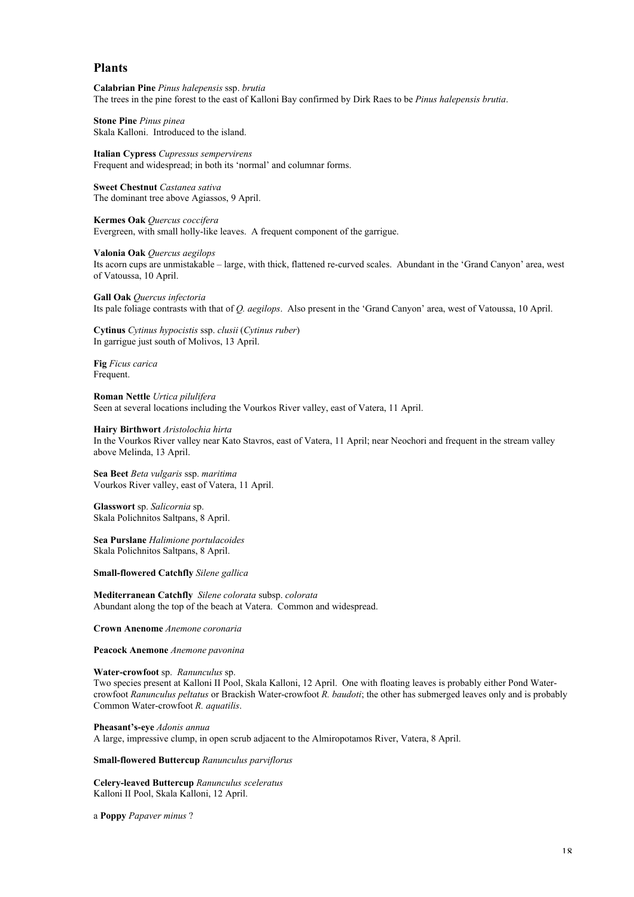## **Plants**

**Calabrian Pine** *Pinus halepensis* ssp. *brutia* The trees in the pine forest to the east of Kalloni Bay confirmed by Dirk Raes to be *Pinus halepensis brutia*.

**Stone Pine** *Pinus pinea* Skala Kalloni. Introduced to the island.

**Italian Cypress** *Cupressus sempervirens* Frequent and widespread; in both its 'normal' and columnar forms.

**Sweet Chestnut** *Castanea sativa* The dominant tree above Agiassos, 9 April.

**Kermes Oak** *Quercus coccifera* Evergreen, with small holly-like leaves. A frequent component of the garrigue.

**Valonia Oak** *Quercus aegilops*

Its acorn cups are unmistakable – large, with thick, flattened re-curved scales. Abundant in the 'Grand Canyon' area, west of Vatoussa, 10 April.

**Gall Oak** *Quercus infectoria* Its pale foliage contrasts with that of *Q. aegilops*. Also present in the 'Grand Canyon' area, west of Vatoussa, 10 April.

**Cytinus** *Cytinus hypocistis* ssp. *clusii* (*Cytinus ruber*) In garrigue just south of Molivos, 13 April.

**Fig** *Ficus carica* Frequent.

**Roman Nettle** *Urtica pilulifera* Seen at several locations including the Vourkos River valley, east of Vatera, 11 April.

#### **Hairy Birthwort** *Aristolochia hirta*

In the Vourkos River valley near Kato Stavros, east of Vatera, 11 April; near Neochori and frequent in the stream valley above Melinda, 13 April.

**Sea Beet** *Beta vulgaris* ssp. *maritima* Vourkos River valley, east of Vatera, 11 April.

**Glasswort** sp. *Salicornia* sp. Skala Polichnitos Saltpans, 8 April.

**Sea Purslane** *Halimione portulacoides* Skala Polichnitos Saltpans, 8 April.

**Small-flowered Catchfly** *Silene gallica*

**Mediterranean Catchfly** *Silene colorata* subsp. *colorata* Abundant along the top of the beach at Vatera. Common and widespread.

**Crown Anenome** *Anemone coronaria*

**Peacock Anemone** *Anemone pavonina*

#### **Water-crowfoot** sp.*Ranunculus* sp.

Two species present at Kalloni II Pool, Skala Kalloni, 12 April. One with floating leaves is probably either Pond Watercrowfoot *Ranunculus peltatus* or Brackish Water-crowfoot *R. baudoti*; the other has submerged leaves only and is probably Common Water-crowfoot *R. aquatilis*.

**Pheasant's-eye** *Adonis annua*

A large, impressive clump, in open scrub adjacent to the Almiropotamos River, Vatera, 8 April.

**Small-flowered Buttercup** *Ranunculus parviflorus*

**Celery-leaved Buttercup** *Ranunculus sceleratus* Kalloni II Pool, Skala Kalloni, 12 April.

a **Poppy** *Papaver minus* ?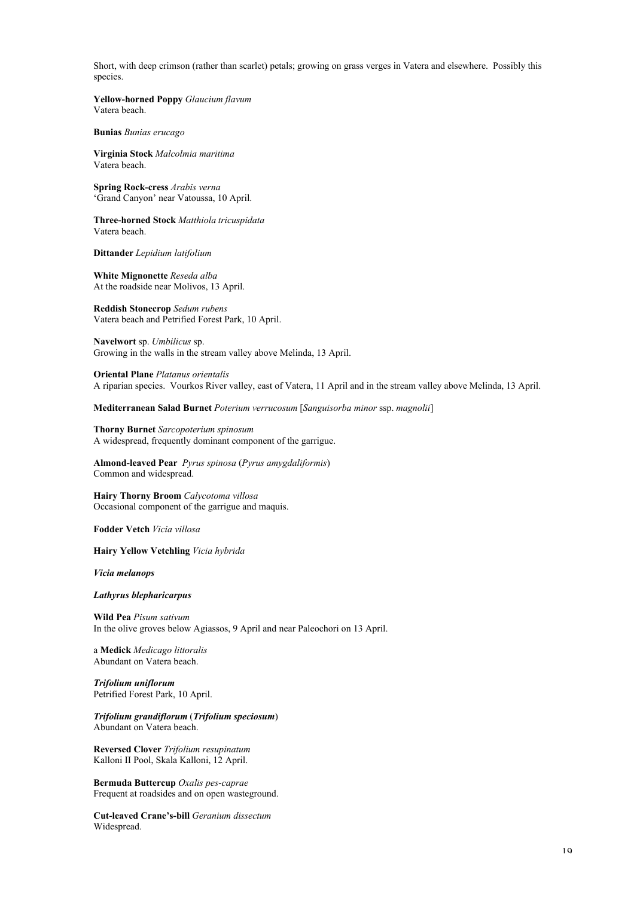Short, with deep crimson (rather than scarlet) petals; growing on grass verges in Vatera and elsewhere. Possibly this species.

**Yellow-horned Poppy** *Glaucium flavum* Vatera beach.

**Bunias** *Bunias erucago*

**Virginia Stock** *Malcolmia maritima* Vatera beach.

**Spring Rock-cress** *Arabis verna* 'Grand Canyon' near Vatoussa, 10 April.

**Three-horned Stock** *Matthiola tricuspidata* Vatera beach.

**Dittander** *Lepidium latifolium*

**White Mignonette** *Reseda alba* At the roadside near Molivos, 13 April.

**Reddish Stonecrop** *Sedum rubens* Vatera beach and Petrified Forest Park, 10 April.

**Navelwort** sp. *Umbilicus* sp. Growing in the walls in the stream valley above Melinda, 13 April.

**Oriental Plane** *Platanus orientalis* A riparian species. Vourkos River valley, east of Vatera, 11 April and in the stream valley above Melinda, 13 April.

**Mediterranean Salad Burnet** *Poterium verrucosum* [*Sanguisorba minor* ssp. *magnolii*]

**Thorny Burnet** *Sarcopoterium spinosum* A widespread, frequently dominant component of the garrigue.

**Almond-leaved Pear** *Pyrus spinosa* (*Pyrus amygdaliformis*) Common and widespread.

**Hairy Thorny Broom** *Calycotoma villosa* Occasional component of the garrigue and maquis.

**Fodder Vetch** *Vicia villosa*

**Hairy Yellow Vetchling** *Vicia hybrida*

*Vicia melanops*

*Lathyrus blepharicarpus*

**Wild Pea** *Pisum sativum* In the olive groves below Agiassos, 9 April and near Paleochori on 13 April.

a **Medick** *Medicago littoralis* Abundant on Vatera beach.

*Trifolium uniflorum* Petrified Forest Park, 10 April.

*Trifolium grandiflorum* (*Trifolium speciosum*) Abundant on Vatera beach.

**Reversed Clover** *Trifolium resupinatum* Kalloni II Pool, Skala Kalloni, 12 April.

**Bermuda Buttercup** *Oxalis pes-caprae* Frequent at roadsides and on open wasteground.

**Cut-leaved Crane's-bill** *Geranium dissectum* Widespread.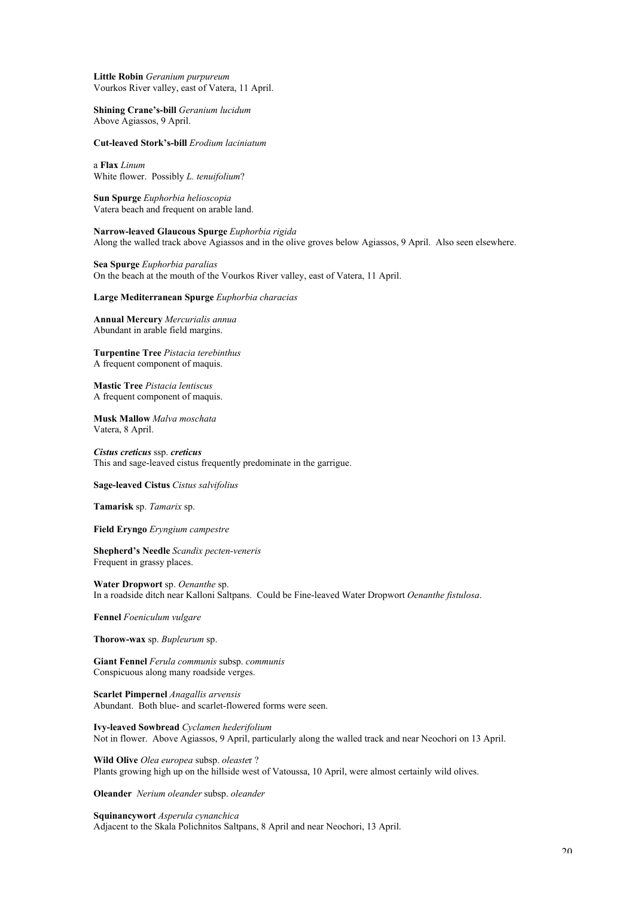**Little Robin** *Geranium purpureum* Vourkos River valley, east of Vatera, 11 April.

**Shining Crane's-bill** *Geranium lucidum* Above Agiassos, 9 April.

**Cut-leaved Stork's-bill** *Erodium laciniatum*

a **Flax** *Linum* White flower. Possibly *L. tenuifolium*?

**Sun Spurge** *Euphorbia helioscopia* Vatera beach and frequent on arable land.

**Narrow-leaved Glaucous Spurge** *Euphorbia rigida* Along the walled track above Agiassos and in the olive groves below Agiassos, 9 April. Also seen elsewhere.

**Sea Spurge** *Euphorbia paralias* On the beach at the mouth of the Vourkos River valley, east of Vatera, 11 April.

**Large Mediterranean Spurge** *Euphorbia characias*

**Annual Mercury** *Mercurialis annua* Abundant in arable field margins.

**Turpentine Tree** *Pistacia terebinthus* A frequent component of maquis.

**Mastic Tree** *Pistacia lentiscus* A frequent component of maquis.

**Musk Mallow** *Malva moschata* Vatera, 8 April.

*Cistus creticus* ssp. *creticus* This and sage-leaved cistus frequently predominate in the garrigue.

**Sage-leaved Cistus** *Cistus salvifolius*

**Tamarisk** sp. *Tamarix* sp.

**Field Eryngo** *Eryngium campestre*

**Shepherd's Needle** *Scandix pecten-veneris* Frequent in grassy places.

**Water Dropwort** sp. *Oenanthe* sp. In a roadside ditch near Kalloni Saltpans. Could be Fine-leaved Water Dropwort *Oenanthe fistulosa*.

**Fennel** *Foeniculum vulgare*

**Thorow-wax** sp. *Bupleurum* sp.

**Giant Fennel** *Ferula communis* subsp. *communis* Conspicuous along many roadside verges.

**Scarlet Pimpernel** *Anagallis arvensis* Abundant. Both blue- and scarlet-flowered forms were seen.

**Ivy-leaved Sowbread** *Cyclamen hederifolium* Not in flower. Above Agiassos, 9 April, particularly along the walled track and near Neochori on 13 April.

**Wild Olive** *Olea europea* subsp. *oleaste*r ? Plants growing high up on the hillside west of Vatoussa, 10 April, were almost certainly wild olives.

**Oleander** *Nerium oleander* subsp. *oleander*

**Squinancywort** *Asperula cynanchica* Adjacent to the Skala Polichnitos Saltpans, 8 April and near Neochori, 13 April.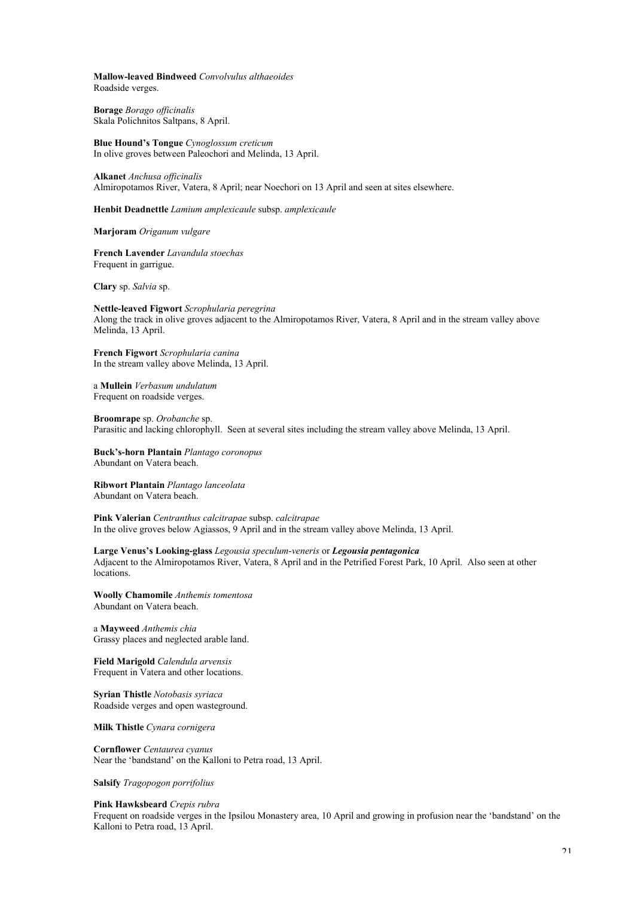**Mallow-leaved Bindweed** *Convolvulus althaeoides* Roadside verges.

**Borage** *Borago officinalis* Skala Polichnitos Saltpans, 8 April.

**Blue Hound's Tongue** *Cynoglossum creticum* In olive groves between Paleochori and Melinda, 13 April.

**Alkanet** *Anchusa officinalis* Almiropotamos River, Vatera, 8 April; near Noechori on 13 April and seen at sites elsewhere.

**Henbit Deadnettle** *Lamium amplexicaule* subsp. *amplexicaule*

**Marjoram** *Origanum vulgare*

**French Lavender** *Lavandula stoechas* Frequent in garrigue.

**Clary** sp. *Salvia* sp.

**Nettle-leaved Figwort** *Scrophularia peregrina* Along the track in olive groves adjacent to the Almiropotamos River, Vatera, 8 April and in the stream valley above Melinda, 13 April.

**French Figwort** *Scrophularia canina* In the stream valley above Melinda, 13 April.

a **Mullein** *Verbasum undulatum* Frequent on roadside verges.

**Broomrape** sp. *Orobanche* sp. Parasitic and lacking chlorophyll. Seen at several sites including the stream valley above Melinda, 13 April.

**Buck's-horn Plantain** *Plantago coronopus* Abundant on Vatera beach.

**Ribwort Plantain** *Plantago lanceolata* Abundant on Vatera beach.

**Pink Valerian** *Centranthus calcitrapae* subsp. *calcitrapae* In the olive groves below Agiassos, 9 April and in the stream valley above Melinda, 13 April.

**Large Venus's Looking-glass** *Legousia speculum-veneris* or *Legousia pentagonica* Adjacent to the Almiropotamos River, Vatera, 8 April and in the Petrified Forest Park, 10 April. Also seen at other locations.

**Woolly Chamomile** *Anthemis tomentosa* Abundant on Vatera beach.

a **Mayweed** *Anthemis chia* Grassy places and neglected arable land.

**Field Marigold** *Calendula arvensis* Frequent in Vatera and other locations.

**Syrian Thistle** *Notobasis syriaca* Roadside verges and open wasteground.

**Milk Thistle** *Cynara cornigera*

**Cornflower** *Centaurea cyanus* Near the 'bandstand' on the Kalloni to Petra road, 13 April.

**Salsify** *Tragopogon porrifolius*

**Pink Hawksbeard** *Crepis rubra*

Frequent on roadside verges in the Ipsilou Monastery area, 10 April and growing in profusion near the 'bandstand' on the Kalloni to Petra road, 13 April.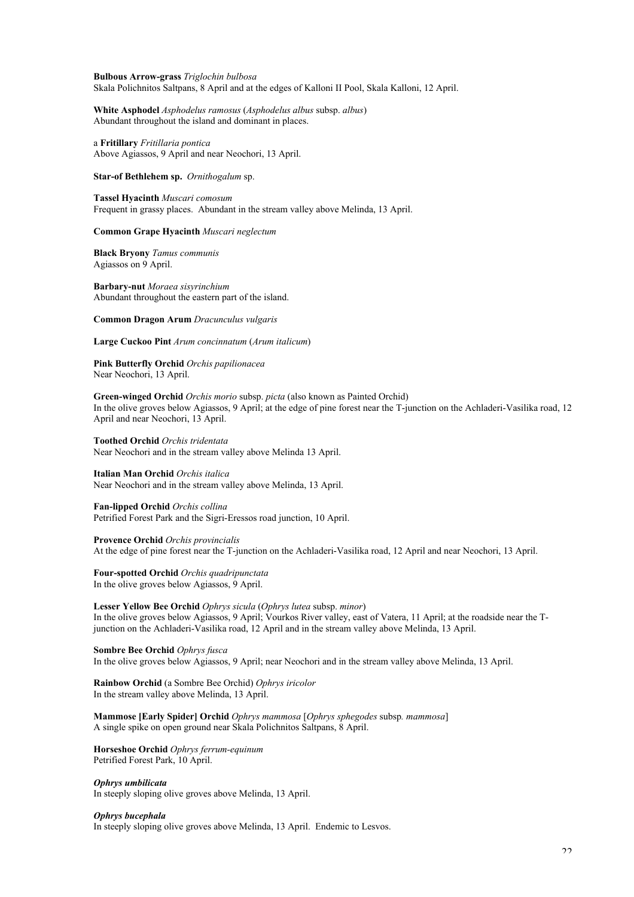#### **Bulbous Arrow-grass** *Triglochin bulbosa* Skala Polichnitos Saltpans, 8 April and at the edges of Kalloni II Pool, Skala Kalloni, 12 April.

**White Asphodel** *Asphodelus ramosus* (*Asphodelus albus* subsp. *albus*) Abundant throughout the island and dominant in places.

a **Fritillary** *Fritillaria pontica* Above Agiassos, 9 April and near Neochori, 13 April.

**Star-of Bethlehem sp.** *Ornithogalum* sp.

**Tassel Hyacinth** *Muscari comosum* Frequent in grassy places. Abundant in the stream valley above Melinda, 13 April.

#### **Common Grape Hyacinth** *Muscari neglectum*

**Black Bryony** *Tamus communis* Agiassos on 9 April.

**Barbary-nut** *Moraea sisyrinchium* Abundant throughout the eastern part of the island.

**Common Dragon Arum** *Dracunculus vulgaris*

**Large Cuckoo Pint** *Arum concinnatum* (*Arum italicum*)

**Pink Butterfly Orchid** *Orchis papilionacea* Near Neochori, 13 April.

**Green-winged Orchid** *Orchis morio* subsp. *picta* (also known as Painted Orchid) In the olive groves below Agiassos, 9 April; at the edge of pine forest near the T-junction on the Achladeri-Vasilika road, 12 April and near Neochori, 13 April.

**Toothed Orchid** *Orchis tridentata* Near Neochori and in the stream valley above Melinda 13 April.

#### **Italian Man Orchid** *Orchis italica*

Near Neochori and in the stream valley above Melinda, 13 April.

**Fan-lipped Orchid** *Orchis collina* Petrified Forest Park and the Sigri-Eressos road junction, 10 April.

**Provence Orchid** *Orchis provincialis*

At the edge of pine forest near the T-junction on the Achladeri-Vasilika road, 12 April and near Neochori, 13 April.

**Four-spotted Orchid** *Orchis quadripunctata* In the olive groves below Agiassos, 9 April.

**Lesser Yellow Bee Orchid** *Ophrys sicula* (*Ophrys lutea* subsp. *minor*) In the olive groves below Agiassos, 9 April; Vourkos River valley, east of Vatera, 11 April; at the roadside near the Tjunction on the Achladeri-Vasilika road, 12 April and in the stream valley above Melinda, 13 April.

**Sombre Bee Orchid** *Ophrys fusca*

In the olive groves below Agiassos, 9 April; near Neochori and in the stream valley above Melinda, 13 April.

**Rainbow Orchid** (a Sombre Bee Orchid) *Ophrys iricolor* In the stream valley above Melinda, 13 April.

**Mammose [Early Spider] Orchid** *Ophrys mammosa* [*Ophrys sphegodes* subsp*. mammosa*] A single spike on open ground near Skala Polichnitos Saltpans, 8 April.

**Horseshoe Orchid** *Ophrys ferrum-equinum* Petrified Forest Park, 10 April.

*Ophrys umbilicata*

In steeply sloping olive groves above Melinda, 13 April.

#### *Ophrys bucephala*

In steeply sloping olive groves above Melinda, 13 April. Endemic to Lesvos.